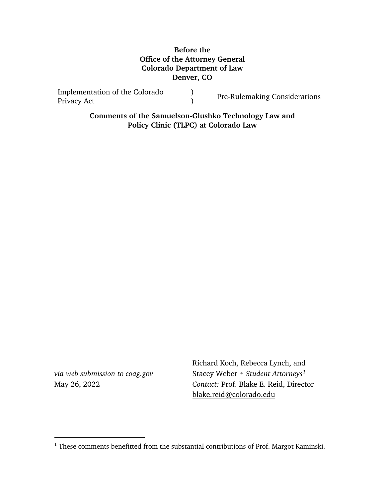### **Before the Office of the Attorney General Colorado Department of Law Denver, CO**

Implementation of the Colorado Privacy Act ) <sup>)</sup><br>
Pre-Rulemaking Considerations

> **Comments of the Samuelson-Glushko Technology Law and Policy Clinic (TLPC) at Colorado Law**

*via web submission to coag.gov* May 26, 2022

 $\overline{a}$ 

Richard Koch, Rebecca Lynch, and Stacey Weber • *Student Attorneys[1](#page-0-0) Contact:* Prof. Blake E. Reid, Director [blake.reid@colorado.edu](mailto:blake.reid@colorado.edu)

<span id="page-0-0"></span> $^{\rm 1}$  These comments benefitted from the substantial contributions of Prof. Margot Kaminski.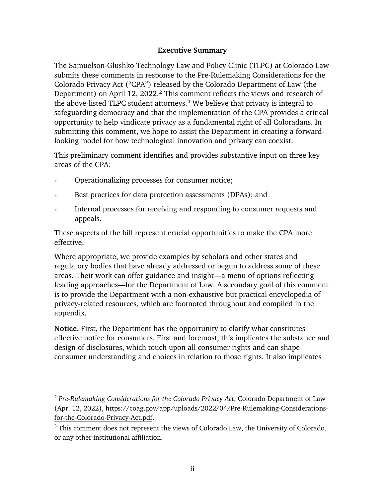### **Executive Summary**

<span id="page-1-2"></span>The Samuelson-Glushko Technology Law and Policy Clinic (TLPC) at Colorado Law submits these comments in response to the Pre-Rulemaking Considerations for the Colorado Privacy Act ("CPA") released by the Colorado Department of Law (the Department) on April 1[2](#page-1-0), 2022.<sup>2</sup> This comment reflects the views and research of the above-listed TLPC student attorneys.<sup>[3](#page-1-1)</sup> We believe that privacy is integral to safeguarding democracy and that the implementation of the CPA provides a critical opportunity to help vindicate privacy as a fundamental right of all Coloradans. In submitting this comment, we hope to assist the Department in creating a forwardlooking model for how technological innovation and privacy can coexist.

This preliminary comment identifies and provides substantive input on three key areas of the CPA:

• Operationalizing processes for consumer notice;

 $\overline{a}$ 

- Best practices for data protection assessments (DPAs); and
- Internal processes for receiving and responding to consumer requests and appeals.

These aspects of the bill represent crucial opportunities to make the CPA more effective.

Where appropriate, we provide examples by scholars and other states and regulatory bodies that have already addressed or begun to address some of these areas. Their work can offer guidance and insight—a menu of options reflecting leading approaches—for the Department of Law. A secondary goal of this comment is to provide the Department with a non-exhaustive but practical encyclopedia of privacy-related resources, which are footnoted throughout and compiled in the appendix.

**Notice.** First, the Department has the opportunity to clarify what constitutes effective notice for consumers. First and foremost, this implicates the substance and design of disclosures, which touch upon all consumer rights and can shape consumer understanding and choices in relation to those rights. It also implicates

<span id="page-1-0"></span><sup>2</sup> *Pre-Rulemaking Considerations for the Colorado Privacy Act*, Colorado Department of Law (Apr. 12, 2022), [https://coag.gov/app/uploads/2022/04/Pre-Rulemaking-Considerations](https://coag.gov/app/uploads/2022/04/Pre-Rulemaking-Considerations-for-the-Colorado-Privacy-Act.pdf)[for-the-Colorado-Privacy-Act.pdf.](https://coag.gov/app/uploads/2022/04/Pre-Rulemaking-Considerations-for-the-Colorado-Privacy-Act.pdf)

<span id="page-1-1"></span><sup>&</sup>lt;sup>3</sup> This comment does not represent the views of Colorado Law, the University of Colorado, or any other institutional affiliation.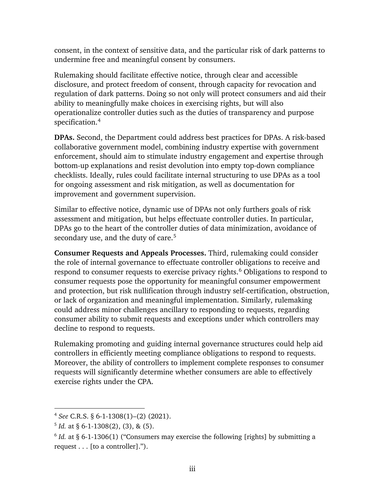consent, in the context of sensitive data, and the particular risk of dark patterns to undermine free and meaningful consent by consumers.

Rulemaking should facilitate effective notice, through clear and accessible disclosure, and protect freedom of consent, through capacity for revocation and regulation of dark patterns. Doing so not only will protect consumers and aid their ability to meaningfully make choices in exercising rights, but will also operationalize controller duties such as the duties of transparency and purpose specification.[4](#page-2-0)

**DPAs.** Second, the Department could address best practices for DPAs. A risk-based collaborative government model, combining industry expertise with government enforcement, should aim to stimulate industry engagement and expertise through bottom-up explanations and resist devolution into empty top-down compliance checklists. Ideally, rules could facilitate internal structuring to use DPAs as a tool for ongoing assessment and risk mitigation, as well as documentation for improvement and government supervision.

Similar to effective notice, dynamic use of DPAs not only furthers goals of risk assessment and mitigation, but helps effectuate controller duties. In particular, DPAs go to the heart of the controller duties of data minimization, avoidance of secondary use, and the duty of care.<sup>[5](#page-2-1)</sup>

**Consumer Requests and Appeals Processes.** Third, rulemaking could consider the role of internal governance to effectuate controller obligations to receive and respond to consumer requests to exercise privacy rights.<sup>[6](#page-2-2)</sup> Obligations to respond to consumer requests pose the opportunity for meaningful consumer empowerment and protection, but risk nullification through industry self-certification, obstruction, or lack of organization and meaningful implementation. Similarly, rulemaking could address minor challenges ancillary to responding to requests, regarding consumer ability to submit requests and exceptions under which controllers may decline to respond to requests.

Rulemaking promoting and guiding internal governance structures could help aid controllers in efficiently meeting compliance obligations to respond to requests. Moreover, the ability of controllers to implement complete responses to consumer requests will significantly determine whether consumers are able to effectively exercise rights under the CPA.

<span id="page-2-0"></span><sup>4</sup> *See* C.R.S. § 6-1-1308(1)–(2) (2021).

<span id="page-2-1"></span> $5$  *Id.* at § 6-1-1308(2), (3), & (5).

<span id="page-2-2"></span> $6$  *Id.* at § 6-1-1306(1) ("Consumers may exercise the following [rights] by submitting a request . . . [to a controller].").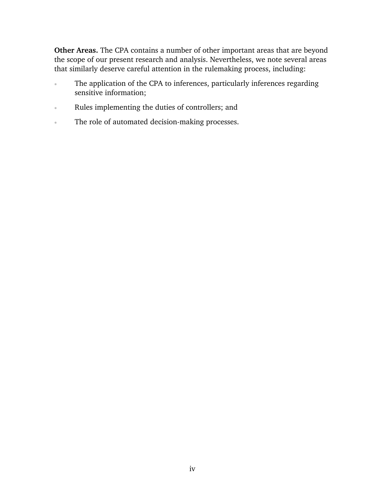**Other Areas.** The CPA contains a number of other important areas that are beyond the scope of our present research and analysis. Nevertheless, we note several areas that similarly deserve careful attention in the rulemaking process, including:

- The application of the CPA to inferences, particularly inferences regarding sensitive information;
- Rules implementing the duties of controllers; and
- The role of automated decision-making processes.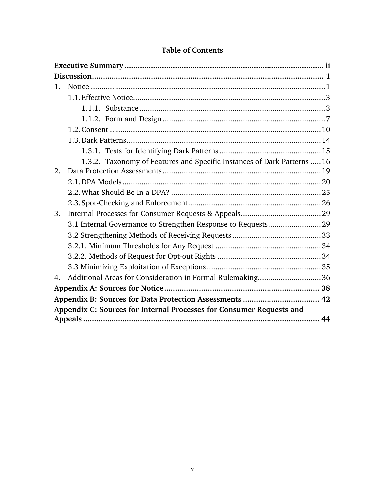| $\mathbf{1}_{\cdot}$                                                 |  |                                                                         |  |  |
|----------------------------------------------------------------------|--|-------------------------------------------------------------------------|--|--|
|                                                                      |  |                                                                         |  |  |
|                                                                      |  |                                                                         |  |  |
|                                                                      |  |                                                                         |  |  |
|                                                                      |  |                                                                         |  |  |
|                                                                      |  |                                                                         |  |  |
|                                                                      |  |                                                                         |  |  |
|                                                                      |  | 1.3.2. Taxonomy of Features and Specific Instances of Dark Patterns  16 |  |  |
| 2.                                                                   |  |                                                                         |  |  |
|                                                                      |  |                                                                         |  |  |
|                                                                      |  |                                                                         |  |  |
|                                                                      |  |                                                                         |  |  |
| 3.                                                                   |  |                                                                         |  |  |
|                                                                      |  |                                                                         |  |  |
|                                                                      |  |                                                                         |  |  |
|                                                                      |  |                                                                         |  |  |
|                                                                      |  |                                                                         |  |  |
|                                                                      |  |                                                                         |  |  |
| 4.                                                                   |  | Additional Areas for Consideration in Formal Rulemaking36               |  |  |
|                                                                      |  |                                                                         |  |  |
|                                                                      |  |                                                                         |  |  |
| Appendix C: Sources for Internal Processes for Consumer Requests and |  |                                                                         |  |  |
|                                                                      |  |                                                                         |  |  |

## **Table of Contents**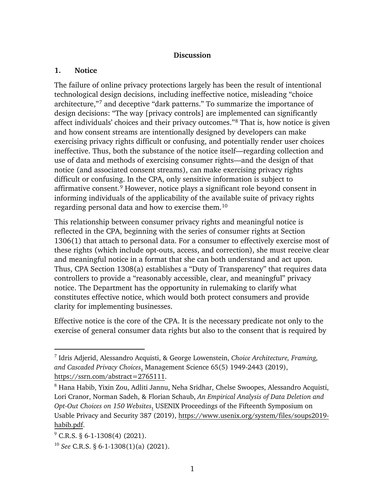#### <span id="page-5-6"></span>**Discussion**

#### <span id="page-5-1"></span><span id="page-5-0"></span>**1. Notice**

The failure of online privacy protections largely has been the result of intentional technological design decisions, including ineffective notice, misleading "choice architecture,"[7](#page-5-2) and deceptive "dark patterns." To summarize the importance of design decisions: "The way [privacy controls] are implemented can significantly affect individuals' choices and their privacy outcomes."[8](#page-5-3) That is, how notice is given and how consent streams are intentionally designed by developers can make exercising privacy rights difficult or confusing, and potentially render user choices ineffective. Thus, both the substance of the notice itself—regarding collection and use of data and methods of exercising consumer rights—and the design of that notice (and associated consent streams), can make exercising privacy rights difficult or confusing. In the CPA, only sensitive information is subject to affirmative consent.[9](#page-5-4) However, notice plays a significant role beyond consent in informing individuals of the applicability of the available suite of privacy rights regarding personal data and how to exercise them.[10](#page-5-5)

This relationship between consumer privacy rights and meaningful notice is reflected in the CPA, beginning with the series of consumer rights at Section 1306(1) that attach to personal data. For a consumer to effectively exercise most of these rights (which include opt-outs, access, and correction), she must receive clear and meaningful notice in a format that she can both understand and act upon. Thus, CPA Section 1308(a) establishes a "Duty of Transparency" that requires data controllers to provide a "reasonably accessible, clear, and meaningful" privacy notice. The Department has the opportunity in rulemaking to clarify what constitutes effective notice, which would both protect consumers and provide clarity for implementing businesses.

Effective notice is the core of the CPA. It is the necessary predicate not only to the exercise of general consumer data rights but also to the consent that is required by

<span id="page-5-2"></span><sup>7</sup> Idris Adjerid, Alessandro Acquisti, & George Lowenstein, *Choice Architecture, Framing, and Cascaded Privacy Choices*, Management Science 65(5) 1949-2443 (2019), [https://ssrn.com/abstract=2765111.](https://ssrn.com/abstract=2765111)

<span id="page-5-3"></span><sup>8</sup> Hana Habib, Yixin Zou, Adliti Jannu, Neha Sridhar, Chelse Swoopes, Alessandro Acquisti, Lori Cranor, Norman Sadeh, & Florian Schaub, *An Empirical Analysis of Data Deletion and Opt-Out Choices on 150 Websites*, USENIX Proceedings of the Fifteenth Symposium on Usable Privacy and Security 387 (2019), [https://www.usenix.org/system/files/soups2019](https://www.usenix.org/system/files/soups2019-habib.pdf) [habib.pdf.](https://www.usenix.org/system/files/soups2019-habib.pdf)

<span id="page-5-4"></span> $9^{\circ}$  C.R.S. § 6-1-1308(4) (2021).

<span id="page-5-5"></span><sup>10</sup> *See* C.R.S. § 6-1-1308(1)(a) (2021).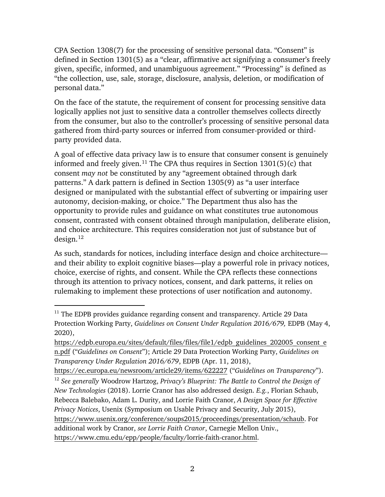CPA Section 1308(7) for the processing of sensitive personal data. "Consent" is defined in Section 1301(5) as a "clear, affirmative act signifying a consumer's freely given, specific, informed, and unambiguous agreement." "Processing" is defined as "the collection, use, sale, storage, disclosure, analysis, deletion, or modification of personal data."

On the face of the statute, the requirement of consent for processing sensitive data logically applies not just to sensitive data a controller themselves collects directly from the consumer, but also to the controller's processing of sensitive personal data gathered from third-party sources or inferred from consumer-provided or thirdparty provided data.

<span id="page-6-2"></span>A goal of effective data privacy law is to ensure that consumer consent is genuinely informed and freely given.<sup>[11](#page-6-0)</sup> The CPA thus requires in Section  $1301(5)(c)$  that consent *may not* be constituted by any "agreement obtained through dark patterns." A dark pattern is defined in Section 1305(9) as "a user interface designed or manipulated with the substantial effect of subverting or impairing user autonomy, decision-making, or choice." The Department thus also has the opportunity to provide rules and guidance on what constitutes true autonomous consent, contrasted with consent obtained through manipulation, deliberate elision, and choice architecture. This requires consideration not just of substance but of  $design.<sup>12</sup>$  $design.<sup>12</sup>$  $design.<sup>12</sup>$ 

<span id="page-6-3"></span>As such, standards for notices, including interface design and choice architecture and their ability to exploit cognitive biases—play a powerful role in privacy notices, choice, exercise of rights, and consent. While the CPA reflects these connections through its attention to privacy notices, consent, and dark patterns, it relies on rulemaking to implement these protections of user notification and autonomy.

<span id="page-6-0"></span> $11$  The EDPB provides guidance regarding consent and transparency. Article 29 Data Protection Working Party, *Guidelines on Consent Under Regulation 2016/679,* EDPB (May 4, 2020),

[https://edpb.europa.eu/sites/default/files/files/file1/edpb\\_guidelines\\_202005\\_consent\\_e](https://edpb.europa.eu/sites/default/files/files/file1/edpb_guidelines_202005_consent_en.pdf) [n.pdf](https://edpb.europa.eu/sites/default/files/files/file1/edpb_guidelines_202005_consent_en.pdf) ("*Guidelines on Consent*"); Article 29 Data Protection Working Party, *Guidelines on Transparency Under Regulation 2016/679*, EDPB (Apr. 11, 2018),

<https://ec.europa.eu/newsroom/article29/items/622227>("*Guidelines on Transparency*").

<span id="page-6-1"></span><sup>12</sup> *See generally* Woodrow Hartzog, *Privacy's Blueprint: The Battle to Control the Design of New Technologies* (2018). Lorrie Cranor has also addressed design. *E.g.*, Florian Schaub, Rebecca Balebako, Adam L. Durity, and Lorrie Faith Cranor, *A Design Space for Effective Privacy Notices*, Usenix (Symposium on Usable Privacy and Security, July 2015), [https://www.usenix.org/conference/soups2015/proceedings/presentation/schaub.](https://www.usenix.org/conference/soups2015/proceedings/presentation/schaub) For additional work by Cranor, *see Lorrie Faith Cranor*, Carnegie Mellon Univ., [https://www.cmu.edu/epp/people/faculty/lorrie-faith-cranor.html.](https://www.cmu.edu/epp/people/faculty/lorrie-faith-cranor.html)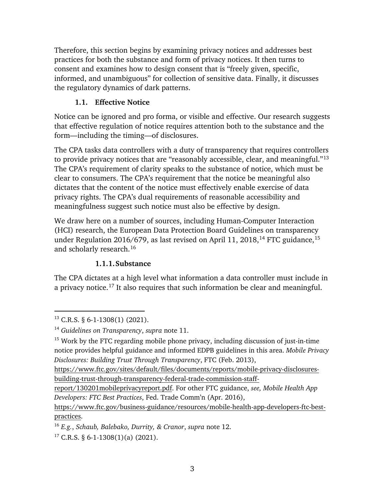Therefore, this section begins by examining privacy notices and addresses best practices for both the substance and form of privacy notices. It then turns to consent and examines how to design consent that is "freely given, specific, informed, and unambiguous" for collection of sensitive data. Finally, it discusses the regulatory dynamics of dark patterns.

# **1.1. Effective Notice**

<span id="page-7-0"></span>Notice can be ignored and pro forma, or visible and effective. Our research suggests that effective regulation of notice requires attention both to the substance and the form—including the timing—of disclosures.

The CPA tasks data controllers with a duty of transparency that requires controllers to provide privacy notices that are "reasonably accessible, clear, and meaningful."[13](#page-7-2) The CPA's requirement of clarity speaks to the substance of notice, which must be clear to consumers. The CPA's requirement that the notice be meaningful also dictates that the content of the notice must effectively enable exercise of data privacy rights. The CPA's dual requirements of reasonable accessibility and meaningfulness suggest such notice must also be effective by design.

We draw here on a number of sources, including Human-Computer Interaction (HCI) research, the European Data Protection Board Guidelines on transparency under Regulation 2016/679, as last revised on April 11, 2018,<sup>[14](#page-7-3)</sup> FTC guidance,<sup>[15](#page-7-4)</sup> and scholarly research.[16](#page-7-5)

## <span id="page-7-7"></span>**1.1.1.Substance**

<span id="page-7-1"></span>The CPA dictates at a high level what information a data controller must include in a privacy notice.[17](#page-7-6) It also requires that such information be clear and meaningful.

<span id="page-7-6"></span> $17$  C.R.S. § 6-1-1308(1)(a) (2021).

 $\overline{a}$  $13$  C.R.S. § 6-1-1308(1) (2021).

<span id="page-7-3"></span><span id="page-7-2"></span><sup>14</sup> *Guidelines on Transparency*, *supra* note [11.](#page-6-2)

<span id="page-7-4"></span><sup>&</sup>lt;sup>15</sup> Work by the FTC regarding mobile phone privacy, including discussion of just-in-time notice provides helpful guidance and informed EDPB guidelines in this area. *Mobile Privacy Disclosures: Building Trust Through Transparency*, FTC (Feb. 2013),

[https://www.ftc.gov/sites/default/files/documents/reports/mobile-privacy-disclosures](https://www.ftc.gov/sites/default/files/documents/reports/mobile-privacy-disclosures-building-trust-through-transparency-federal-trade-commission-staff-report/130201mobileprivacyreport.pdf)[building-trust-through-transparency-federal-trade-commission-staff-](https://www.ftc.gov/sites/default/files/documents/reports/mobile-privacy-disclosures-building-trust-through-transparency-federal-trade-commission-staff-report/130201mobileprivacyreport.pdf)

[report/130201mobileprivacyreport.pdf.](https://www.ftc.gov/sites/default/files/documents/reports/mobile-privacy-disclosures-building-trust-through-transparency-federal-trade-commission-staff-report/130201mobileprivacyreport.pdf) For other FTC guidance, *see, Mobile Health App Developers: FTC Best Practices*, Fed. Trade Comm'n (Apr. 2016),

[https://www.ftc.gov/business-guidance/resources/mobile-health-app-developers-ftc-best](https://www.ftc.gov/business-guidance/resources/mobile-health-app-developers-ftc-best-practices)[practices.](https://www.ftc.gov/business-guidance/resources/mobile-health-app-developers-ftc-best-practices)

<span id="page-7-5"></span><sup>16</sup> *E.g.*, *Schaub, Balebako, Durrity, & Cranor*, *supra* note [12.](#page-6-3)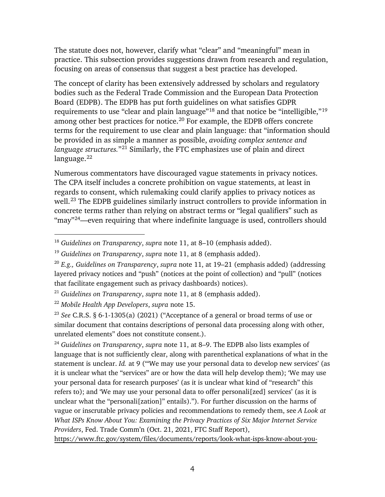The statute does not, however, clarify what "clear" and "meaningful" mean in practice. This subsection provides suggestions drawn from research and regulation, focusing on areas of consensus that suggest a best practice has developed.

The concept of clarity has been extensively addressed by scholars and regulatory bodies such as the Federal Trade Commission and the European Data Protection Board (EDPB). The EDPB has put forth guidelines on what satisfies GDPR requirements to use "clear and plain language"[18](#page-8-0) and that notice be "intelligible,"[19](#page-8-1) among other best practices for notice[.20](#page-8-2) For example, the EDPB offers concrete terms for the requirement to use clear and plain language: that "information should be provided in as simple a manner as possible, *avoiding complex sentence and language structures.*"[21](#page-8-3) Similarly, the FTC emphasizes use of plain and direct language. [22](#page-8-4) 

Numerous commentators have discouraged vague statements in privacy notices. The CPA itself includes a concrete prohibition on vague statements, at least in regards to consent, which rulemaking could clarify applies to privacy notices as well.<sup>[23](#page-8-5)</sup> The EDPB guidelines similarly instruct controllers to provide information in concrete terms rather than relying on abstract terms or "legal qualifiers" such as "may"<sup>24</sup>—even requiring that where indefinite language is used, controllers should

 $\overline{a}$ 

<span id="page-8-6"></span><sup>24</sup> *Guidelines on Transparency*, *supra* note [11,](#page-6-2) at 8–9. The EDPB also lists examples of language that is not sufficiently clear, along with parenthetical explanations of what in the statement is unclear. *Id.* at 9 ("'We may use your personal data to develop new services' (as it is unclear what the "services" are or how the data will help develop them); 'We may use your personal data for research purposes' (as it is unclear what kind of "research" this refers to); and 'We may use your personal data to offer personali[zed] services' (as it is unclear what the "personali[zation]" entails)."). For further discussion on the harms of vague or inscrutable privacy policies and recommendations to remedy them, see *A Look at What ISPs Know About You: Examining the Privacy Practices of Six Major Internet Service Providers*, Fed. Trade Comm'n (Oct. 21, 2021, FTC Staff Report),

[https://www.ftc.gov/system/files/documents/reports/look-what-isps-know-about-you-](https://www.ftc.gov/system/files/documents/reports/look-what-isps-know-about-you-examining-privacy-practices-six-major-internet-service-providers/p195402_isp_6b_staff_report.pdf)

<span id="page-8-0"></span><sup>18</sup> *Guidelines on Transparency*, *supra* note [11,](#page-6-2) at 8–10 (emphasis added).

<span id="page-8-1"></span><sup>19</sup> *Guidelines on Transparency*, *supra* note [11,](#page-6-2) at 8 (emphasis added).

<span id="page-8-2"></span><sup>20</sup> *E.g., Guidelines on Transparency*, *supra* note [11,](#page-6-2) at 19–21 (emphasis added) (addressing layered privacy notices and "push" (notices at the point of collection) and "pull" (notices that facilitate engagement such as privacy dashboards) notices).

<span id="page-8-3"></span><sup>21</sup> *Guidelines on Transparency*, *supra* note [11,](#page-6-2) at 8 (emphasis added).

<span id="page-8-4"></span><sup>22</sup> *Mobile Health App Developers*, *supra* note [15.](#page-7-7)

<span id="page-8-5"></span><sup>23</sup> *See* C.R.S. § 6-1-1305(a) (2021) ("Acceptance of a general or broad terms of use or similar document that contains descriptions of personal data processing along with other, unrelated elements" does not constitute consent.).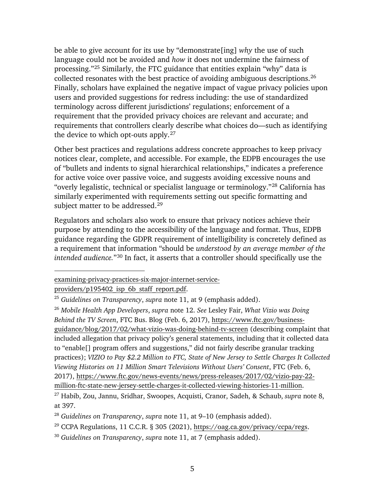be able to give account for its use by "demonstrate[ing] *why* the use of such language could not be avoided and *how* it does not undermine the fairness of processing."[25](#page-9-0) Similarly, the FTC guidance that entities explain "why" data is collected resonates with the best practice of avoiding ambiguous descriptions.[26](#page-9-1) Finally, scholars have explained the negative impact of vague privacy policies upon users and provided suggestions for redress including: the use of standardized terminology across different jurisdictions' regulations; enforcement of a requirement that the provided privacy choices are relevant and accurate; and requirements that controllers clearly describe what choices do—such as identifying the device to which opt-outs apply.<sup>[27](#page-9-2)</sup>

Other best practices and regulations address concrete approaches to keep privacy notices clear, complete, and accessible. For example, the EDPB encourages the use of "bullets and indents to signal hierarchical relationships," indicates a preference for active voice over passive voice, and suggests avoiding excessive nouns and "overly legalistic, technical or specialist language or terminology."[28](#page-9-3) California has similarly experimented with requirements setting out specific formatting and subject matter to be addressed.<sup>[29](#page-9-4)</sup>

Regulators and scholars also work to ensure that privacy notices achieve their purpose by attending to the accessibility of the language and format. Thus, EDPB guidance regarding the GDPR requirement of intelligibility is concretely defined as a requirement that information "should be *understood by an average member of the intended audience.*"[30](#page-9-5) In fact, it asserts that a controller should specifically use the

[examining-privacy-practices-six-major-internet-service-](https://www.ftc.gov/system/files/documents/reports/look-what-isps-know-about-you-examining-privacy-practices-six-major-internet-service-providers/p195402_isp_6b_staff_report.pdf)

providers/p195402 isp\_6b\_staff\_report.pdf.

<span id="page-9-0"></span><sup>25</sup> *Guidelines on Transparency*, *supra* note [11,](#page-6-2) at 9 (emphasis added).

<span id="page-9-1"></span><sup>26</sup> *Mobile Health App Developers*, *supra* note [12.](#page-6-3) *See* Lesley Fair, *What Vizio was Doing Behind the TV Screen*, FTC Bus. Blog (Feb. 6, 2017), [https://www.ftc.gov/business](https://www.ftc.gov/business-guidance/blog/2017/02/what-vizio-was-doing-behind-tv-screen)[guidance/blog/2017/02/what-vizio-was-doing-behind-tv-screen](https://www.ftc.gov/business-guidance/blog/2017/02/what-vizio-was-doing-behind-tv-screen) (describing complaint that included allegation that privacy policy's general statements, including that it collected data to "enable[] program offers and suggestions," did not fairly describe granular tracking practices); *VIZIO to Pay \$2.2 Million to FTC, State of New Jersey to Settle Charges It Collected Viewing Histories on 11 Million Smart Televisions Without Users' Consent*, FTC (Feb. 6, 2017), [https://www.ftc.gov/news-events/news/press-releases/2017/02/vizio-pay-22](https://www.ftc.gov/news-events/news/press-releases/2017/02/vizio-pay-22-million-ftc-state-new-jersey-settle-charges-it-collected-viewing-histories-11-million) [million-ftc-state-new-jersey-settle-charges-it-collected-viewing-histories-11-million.](https://www.ftc.gov/news-events/news/press-releases/2017/02/vizio-pay-22-million-ftc-state-new-jersey-settle-charges-it-collected-viewing-histories-11-million)

<span id="page-9-2"></span><sup>27</sup> Habib, Zou, Jannu, Sridhar, Swoopes, Acquisti, Cranor, Sadeh, & Schaub, *supra* note [8,](#page-5-6) at 397.

<span id="page-9-3"></span><sup>28</sup> *Guidelines on Transparency*, *supra* note [11,](#page-6-2) at 9–10 (emphasis added).

<span id="page-9-4"></span><sup>&</sup>lt;sup>29</sup> CCPA Regulations, 11 C.C.R. § 305 (2021), [https://oag.ca.gov/privacy/ccpa/regs.](https://oag.ca.gov/privacy/ccpa/regs)

<span id="page-9-5"></span><sup>30</sup> *Guidelines on Transparency*, *supra* note [11,](#page-6-2) at 7 (emphasis added).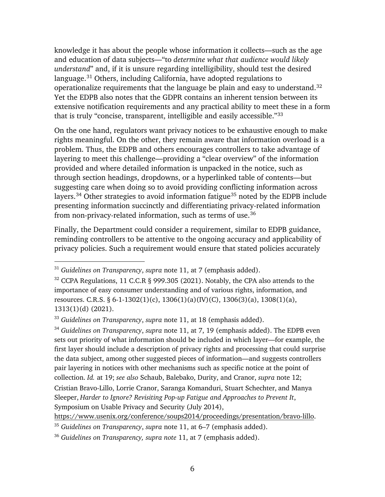knowledge it has about the people whose information it collects—such as the age and education of data subjects—"to *determine what that audience would likely understand*" and, if it is unsure regarding intelligibility, should test the desired language.<sup>[31](#page-10-0)</sup> Others, including California, have adopted regulations to operationalize requirements that the language be plain and easy to understand[.32](#page-10-1) Yet the EDPB also notes that the GDPR contains an inherent tension between its extensive notification requirements and any practical ability to meet these in a form that is truly "concise, transparent, intelligible and easily accessible.["33](#page-10-2)

On the one hand, regulators want privacy notices to be exhaustive enough to make rights meaningful. On the other, they remain aware that information overload is a problem. Thus, the EDPB and others encourages controllers to take advantage of layering to meet this challenge—providing a "clear overview" of the information provided and where detailed information is unpacked in the notice, such as through section headings, dropdowns, or a hyperlinked table of contents—but suggesting care when doing so to avoid providing conflicting information across layers.<sup>[34](#page-10-3)</sup> Other strategies to avoid information fatigue<sup>[35](#page-10-4)</sup> noted by the EDPB include presenting information succinctly and differentiating privacy-related information from non-privacy-related information, such as terms of use.[36](#page-10-5)

<span id="page-10-6"></span>Finally, the Department could consider a requirement, similar to EDPB guidance, reminding controllers to be attentive to the ongoing accuracy and applicability of privacy policies. Such a requirement would ensure that stated policies accurately

 $\overline{a}$ 

<span id="page-10-3"></span><sup>34</sup> *Guidelines on Transparency*, *supra* note [11,](#page-6-2) at 7, 19 (emphasis added). The EDPB even sets out priority of what information should be included in which layer—for example, the first layer should include a description of privacy rights and processing that could surprise the data subject, among other suggested pieces of information—and suggests controllers pair layering in notices with other mechanisms such as specific notice at the point of collection. *Id.* at 19; *see also* Schaub, Balebako, Durity, and Cranor, *supra* note [12;](#page-6-3) Cristian Bravo-Lillo, Lorrie Cranor, Saranga Komanduri, Stuart Schechter, and Manya Sleeper, *Harder to Ignore? Revisiting Pop-up Fatigue and Approaches to Prevent It*, Symposium on Usable Privacy and Security (July 2014),

[https://www.usenix.org/conference/soups2014/proceedings/presentation/bravo-lillo.](https://www.usenix.org/conference/soups2014/proceedings/presentation/bravo-lillo)

<span id="page-10-0"></span><sup>31</sup> *Guidelines on Transparency*, *supra* note [11,](#page-6-2) at 7 (emphasis added).

<span id="page-10-1"></span><sup>&</sup>lt;sup>32</sup> CCPA Regulations, 11 C.C.R § 999.305 (2021). Notably, the CPA also attends to the importance of easy consumer understanding and of various rights, information, and resources. C.R.S. § 6-1-1302(1)(c), 1306(1)(a)(IV)(C), 1306(3)(a), 1308(1)(a), 1313(1)(d) (2021).

<span id="page-10-2"></span><sup>33</sup> *Guidelines on Transparency*, *supra* note [11,](#page-6-2) at 18 (emphasis added).

<span id="page-10-4"></span><sup>35</sup> *Guidelines on Transparency*, *supra* note [11,](#page-6-2) at 6–7 (emphasis added).

<span id="page-10-5"></span><sup>36</sup> *Guidelines on Transparency, supra note* [11,](#page-6-2) at 7 (emphasis added).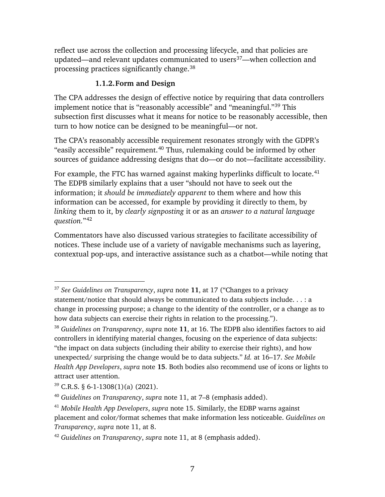reflect use across the collection and processing lifecycle, and that policies are updated—and relevant updates communicated to users<sup>[37](#page-11-1)</sup>—when collection and processing practices significantly change.[38](#page-11-2)

### **1.1.2.Form and Design**

<span id="page-11-0"></span>The CPA addresses the design of effective notice by requiring that data controllers implement notice that is "reasonably accessible" and "meaningful."[39](#page-11-3) This subsection first discusses what it means for notice to be reasonably accessible, then turn to how notice can be designed to be meaningful—or not.

The CPA's reasonably accessible requirement resonates strongly with the GDPR's "easily accessible" requirement.<sup>[40](#page-11-4)</sup> Thus, rulemaking could be informed by other sources of guidance addressing designs that do—or do not—facilitate accessibility.

For example, the FTC has warned against making hyperlinks difficult to locate.<sup>[41](#page-11-5)</sup> The EDPB similarly explains that a user "should not have to seek out the information; it *should be immediately apparent* to them where and how this information can be accessed, for example by providing it directly to them, by *linking* them to it, by *clearly signposting* it or as an *answer to a natural language question.*"[42](#page-11-6)

Commentators have also discussed various strategies to facilitate accessibility of notices. These include use of a variety of navigable mechanisms such as layering, contextual pop-ups, and interactive assistance such as a chatbot—while noting that

<span id="page-11-1"></span><sup>37</sup> *See Guidelines on Transparency*, *supra* note **[11](#page-6-2)**, at 17 ("Changes to a privacy statement/notice that should always be communicated to data subjects include. . . : a change in processing purpose; a change to the identity of the controller, or a change as to how data subjects can exercise their rights in relation to the processing.").

<span id="page-11-2"></span><sup>38</sup> *Guidelines on Transparency*, *supra* note **[11](#page-6-2)**, at 16. The EDPB also identifies factors to aid controllers in identifying material changes, focusing on the experience of data subjects: "the impact on data subjects (including their ability to exercise their rights), and how unexpected/ surprising the change would be to data subjects." *Id.* at 16–17. *See Mobile Health App Developers*, *supra* note **[15](#page-7-7)**. Both bodies also recommend use of icons or lights to attract user attention.

<span id="page-11-3"></span> $39$  C.R.S. § 6-1-1308(1)(a) (2021).

<span id="page-11-4"></span><sup>40</sup> *Guidelines on Transparency*, *supra* note [11,](#page-6-2) at 7–8 (emphasis added).

<span id="page-11-5"></span><sup>41</sup> *Mobile Health App Developers*, *supra* note [15.](#page-7-7) Similarly, the EDBP warns against placement and color/format schemes that make information less noticeable. *Guidelines on Transparency*, *supra* note [11,](#page-6-2) at 8.

<span id="page-11-6"></span><sup>42</sup> *Guidelines on Transparency*, *supra* note [11,](#page-6-2) at 8 (emphasis added).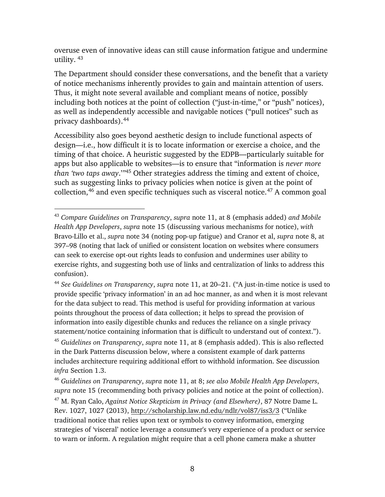overuse even of innovative ideas can still cause information fatigue and undermine utility. [43](#page-12-0)

The Department should consider these conversations, and the benefit that a variety of notice mechanisms inherently provides to gain and maintain attention of users. Thus, it might note several available and compliant means of notice, possibly including both notices at the point of collection ("just-in-time," or "push" notices), as well as independently accessible and navigable notices ("pull notices" such as privacy dashboards).[44](#page-12-1)

Accessibility also goes beyond aesthetic design to include functional aspects of design—i.e., how difficult it is to locate information or exercise a choice, and the timing of that choice. A heuristic suggested by the EDPB—particularly suitable for apps but also applicable to websites—is to ensure that "information is *never more than 'two taps away*.'*"*[45](#page-12-2) Other strategies address the timing and extent of choice, such as suggesting links to privacy policies when notice is given at the point of collection,  $46$  and even specific techniques such as visceral notice.  $47$  A common goal

<span id="page-12-0"></span><sup>43</sup> *Compare Guidelines on Transparency*, *supra* note [11,](#page-6-2) at 8 (emphasis added) *and Mobile Health App Developers*, *supra* note [15](#page-7-7) (discussing various mechanisms for notice), *with*  Bravo-Lillo et al., *supra* note [34](#page-10-6) (noting pop-up fatigue) and Cranor et al, *supra* note [8,](#page-5-6) at 397–98 (noting that lack of unified or consistent location on websites where consumers can seek to exercise opt-out rights leads to confusion and undermines user ability to exercise rights, and suggesting both use of links and centralization of links to address this confusion).

<span id="page-12-1"></span><sup>44</sup> *See Guidelines on Transparency*, *supra* note [11,](#page-6-2) at 20–21. ("A just-in-time notice is used to provide specific 'privacy information' in an ad hoc manner, as and when it is most relevant for the data subject to read. This method is useful for providing information at various points throughout the process of data collection; it helps to spread the provision of information into easily digestible chunks and reduces the reliance on a single privacy statement/notice containing information that is difficult to understand out of context."). <sup>45</sup> *Guidelines on Transparency*, *supra* note [11,](#page-6-2) at 8 (emphasis added). This is also reflected in the Dark Patterns discussion below, where a consistent example of dark patterns includes architecture requiring additional effort to withhold information. See discussion *infra* Section 1.3.

<span id="page-12-4"></span><span id="page-12-3"></span><span id="page-12-2"></span><sup>46</sup> *Guidelines on Transparency*, *supra* note [11,](#page-6-2) at 8; *see also Mobile Health App Developers*, *supra* note [15](#page-7-7) (recommending both privacy policies and notice at the point of collection). <sup>47</sup> M. Ryan Calo, *Against Notice Skepticism in Privacy (and Elsewhere)*, 87 Notre Dame L. Rev. 1027, 1027 (2013),<http://scholarship.law.nd.edu/ndlr/vol87/iss3/3> ("Unlike traditional notice that relies upon text or symbols to convey information, emerging strategies of 'visceral' notice leverage a consumer's very experience of a product or service

to warn or inform. A regulation might require that a cell phone camera make a shutter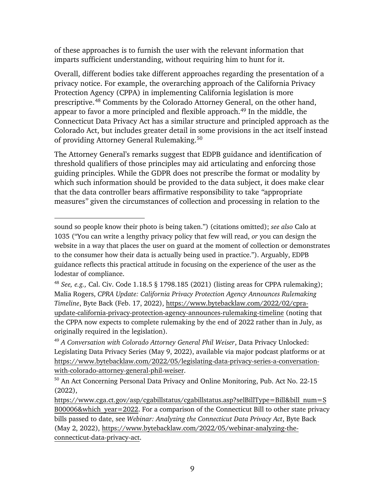of these approaches is to furnish the user with the relevant information that imparts sufficient understanding, without requiring him to hunt for it.

Overall, different bodies take different approaches regarding the presentation of a privacy notice. For example, the overarching approach of the California Privacy Protection Agency (CPPA) in implementing California legislation is more prescriptive. [48](#page-13-0) Comments by the Colorado Attorney General, on the other hand, appear to favor a more principled and flexible approach. [49](#page-13-1) In the middle, the Connecticut Data Privacy Act has a similar structure and principled approach as the Colorado Act, but includes greater detail in some provisions in the act itself instead of providing Attorney General Rulemaking.[50](#page-13-2)

The Attorney General's remarks suggest that EDPB guidance and identification of threshold qualifiers of those principles may aid articulating and enforcing those guiding principles. While the GDPR does not prescribe the format or modality by which such information should be provided to the data subject, it does make clear that the data controller bears affirmative responsibility to take *"*appropriate measures*"* given the circumstances of collection and processing in relation to the

sound so people know their photo is being taken.") (citations omitted); *see also* Calo at 1035 ("You can write a lengthy privacy policy that few will read, *or* you can design the website in a way that places the user on guard at the moment of collection or demonstrates to the consumer how their data is actually being used in practice."). Arguably, EDPB guidance reflects this practical attitude in focusing on the experience of the user as the lodestar of compliance.

<span id="page-13-0"></span><sup>48</sup> *See, e.g.,* Cal. Civ. Code 1.18.5 § 1798.185 (2021) (listing areas for CPPA rulemaking); Malia Rogers, *CPRA Update: California Privacy Protection Agency Announces Rulemaking Timeline*, Byte Back (Feb. 17, 2022), [https://www.bytebacklaw.com/2022/02/cpra](https://www.bytebacklaw.com/2022/02/cpra-update-california-privacy-protection-agency-announces-rulemaking-timeline)[update-california-privacy-protection-agency-announces-rulemaking-timeline](https://www.bytebacklaw.com/2022/02/cpra-update-california-privacy-protection-agency-announces-rulemaking-timeline) (noting that the CPPA now expects to complete rulemaking by the end of 2022 rather than in July, as originally required in the legislation).

<span id="page-13-1"></span><sup>49</sup> *A Conversation with Colorado Attorney General Phil Weiser*, Data Privacy Unlocked: Legislating Data Privacy Series (May 9, 2022), available via major podcast platforms or at [https://www.bytebacklaw.com/2022/05/legislating-data-privacy-series-a-conversation](https://www.bytebacklaw.com/2022/05/legislating-data-privacy-series-a-conversation-with-colorado-attorney-general-phil-weiser)[with-colorado-attorney-general-phil-weiser.](https://www.bytebacklaw.com/2022/05/legislating-data-privacy-series-a-conversation-with-colorado-attorney-general-phil-weiser)

<span id="page-13-2"></span><sup>50</sup> An Act Concerning Personal Data Privacy and Online Monitoring, Pub. Act No. 22-15 (2022),

[https://www.cga.ct.gov/asp/cgabillstatus/cgabillstatus.asp?selBillType=Bill&bill\\_num=S](https://www.cga.ct.gov/asp/cgabillstatus/cgabillstatus.asp?selBillType=Bill&bill_num=SB00006&which_year=2022) B00006&which year=2022. For a comparison of the Connecticut Bill to other state privacy bills passed to date, see *Webinar: Analyzing the Connecticut Data Privacy Act*, Byte Back (May 2, 2022), [https://www.bytebacklaw.com/2022/05/webinar-analyzing-the](https://www.bytebacklaw.com/2022/05/webinar-analyzing-the-connecticut-data-privacy-act)[connecticut-data-privacy-act.](https://www.bytebacklaw.com/2022/05/webinar-analyzing-the-connecticut-data-privacy-act)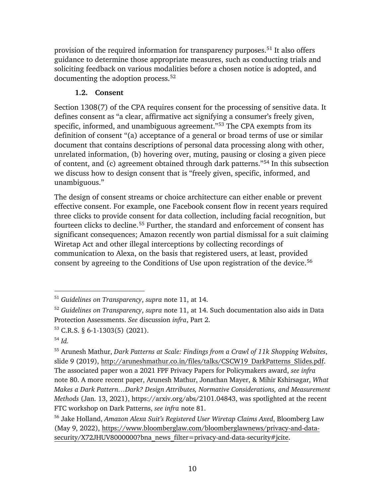provision of the required information for transparency purposes.<sup>[51](#page-14-1)</sup> It also offers guidance to determine those appropriate measures, such as conducting trials and soliciting feedback on various modalities before a chosen notice is adopted, and documenting the adoption process. [52](#page-14-2) 

### **1.2. Consent**

<span id="page-14-0"></span>Section 1308(7) of the CPA requires consent for the processing of sensitive data. It defines consent as "a clear, affirmative act signifying a consumer's freely given, specific, informed, and unambiguous agreement."[53](#page-14-3) The CPA exempts from its definition of consent "(a) acceptance of a general or broad terms of use or similar document that contains descriptions of personal data processing along with other, unrelated information, (b) hovering over, muting, pausing or closing a given piece of content, and (c) agreement obtained through dark patterns."[54](#page-14-4) In this subsection we discuss how to design consent that is "freely given, specific, informed, and unambiguous."

The design of consent streams or choice architecture can either enable or prevent effective consent. For example, one Facebook consent flow in recent years required three clicks to provide consent for data collection, including facial recognition, but fourteen clicks to decline.<sup>[55](#page-14-5)</sup> Further, the standard and enforcement of consent has significant consequences; Amazon recently won partial dismissal for a suit claiming Wiretap Act and other illegal interceptions by collecting recordings of communication to Alexa, on the basis that registered users, at least, provided consent by agreeing to the Conditions of Use upon registration of the device.<sup>[56](#page-14-6)</sup>

<span id="page-14-1"></span><sup>51</sup> *Guidelines on Transparency*, *supra* note [11,](#page-6-2) at 14.

<span id="page-14-2"></span><sup>52</sup> *Guidelines on Transparency*, *supra* note [11,](#page-6-2) at 14. Such documentation also aids in Data Protection Assessments. *See* discussion *infra*, Part 2.

<span id="page-14-3"></span><sup>53</sup> C.R.S. § 6-1-1303(5) (2021).

<span id="page-14-4"></span><sup>54</sup> *Id.*

<span id="page-14-5"></span><sup>55</sup> Arunesh Mathur, *Dark Patterns at Scale: Findings from a Crawl of 11k Shopping Websites*, slide 9 (2019), [http://aruneshmathur.co.in/files/talks/CSCW19\\_DarkPatterns\\_Slides.pdf.](http://aruneshmathur.co.in/files/talks/CSCW19_DarkPatterns_Slides.pdf) The associated paper won a 2021 FPF Privacy Papers for Policymakers award, *see infra*  note [80.](#page-18-1) A more recent paper, Arunesh Mathur, Jonathan Mayer, & Mihir Kshirsagar, *What Makes a Dark Pattern…Dark? Design Attributes, Normative Considerations, and Measurement Methods* (Jan. 13, 2021), https://arxiv.org/abs/2101.04843, was spotlighted at the recent FTC workshop on Dark Patterns, *see infra* note [81.](#page-18-2)

<span id="page-14-6"></span><sup>56</sup> Jake Holland, *Amazon Alexa Suit's Registered User Wiretap Claims Axed*, Bloomberg Law (May 9, 2022), [https://www.bloomberglaw.com/bloomberglawnews/privacy-and-data](https://www.bloomberglaw.com/bloomberglawnews/privacy-and-data-security/X72JHUV8000000?bna_news_filter=privacy-and-data-security#jcite)[security/X72JHUV8000000?bna\\_news\\_filter=privacy-and-data-security#jcite.](https://www.bloomberglaw.com/bloomberglawnews/privacy-and-data-security/X72JHUV8000000?bna_news_filter=privacy-and-data-security#jcite)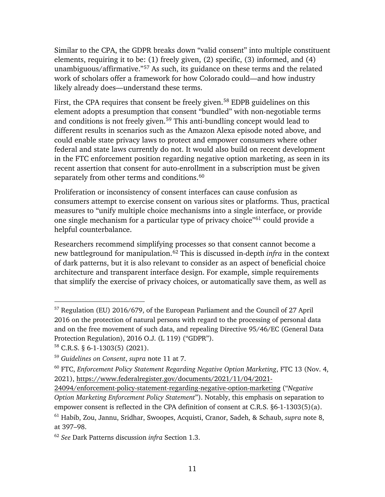<span id="page-15-7"></span>Similar to the CPA, the GDPR breaks down "valid consent" into multiple constituent elements, requiring it to be: (1) freely given, (2) specific, (3) informed, and (4) unambiguous/affirmative."[57](#page-15-0) As such, its guidance on these terms and the related work of scholars offer a framework for how Colorado could—and how industry likely already does—understand these terms.

First, the CPA requires that consent be freely given.<sup>[58](#page-15-1)</sup> EDPB guidelines on this element adopts a presumption that consent "bundled" with non-negotiable terms and conditions is not freely given.<sup>[59](#page-15-2)</sup> This anti-bundling concept would lead to different results in scenarios such as the Amazon Alexa episode noted above, and could enable state privacy laws to protect and empower consumers where other federal and state laws currently do not. It would also build on recent development in the FTC enforcement position regarding negative option marketing, as seen in its recent assertion that consent for auto-enrollment in a subscription must be given separately from other terms and conditions.<sup>[60](#page-15-3)</sup>

<span id="page-15-6"></span>Proliferation or inconsistency of consent interfaces can cause confusion as consumers attempt to exercise consent on various sites or platforms. Thus, practical measures to "unify multiple choice mechanisms into a single interface, or provide one single mechanism for a particular type of privacy choice"<sup>61</sup> could provide a helpful counterbalance.

Researchers recommend simplifying processes so that consent cannot become a new battleground for manipulation.[62](#page-15-5) This is discussed in-depth *infra* in the context of dark patterns, but it is also relevant to consider as an aspect of beneficial choice architecture and transparent interface design. For example, simple requirements that simplify the exercise of privacy choices, or automatically save them, as well as

<span id="page-15-0"></span> $57$  Regulation (EU) 2016/679, of the European Parliament and the Council of 27 April 2016 on the protection of natural persons with regard to the processing of personal data and on the free movement of such data, and repealing Directive 95/46/EC (General Data Protection Regulation), 2016 O.J. (L 119) ("GDPR").

<span id="page-15-1"></span> $58$  C.R.S. § 6-1-1303(5) (2021).

<span id="page-15-2"></span><sup>59</sup> *Guidelines on Consent*, *supra* note [11](#page-6-2) at 7.

<span id="page-15-3"></span><sup>60</sup> FTC, *Enforcement Policy Statement Regarding Negative Option Marketing*, FTC 13 (Nov. 4, 2021), [https://www.federalregister.gov/documents/2021/11/04/2021-](https://www.federalregister.gov/documents/2021/11/04/2021-24094/enforcement-policy-statement-regarding-negative-option-marketing)

[<sup>24094/</sup>enforcement-policy-statement-regarding-negative-option-marketing](https://www.federalregister.gov/documents/2021/11/04/2021-24094/enforcement-policy-statement-regarding-negative-option-marketing) ("*Negative Option Marketing Enforcement Policy Statement*"). Notably, this emphasis on separation to empower consent is reflected in the CPA definition of consent at C.R.S. §6-1-1303(5)(a). <sup>61</sup> Habib, Zou, Jannu, Sridhar, Swoopes, Acquisti, Cranor, Sadeh, & Schaub, *supra* note [8,](#page-5-6) at 397–98.

<span id="page-15-5"></span><span id="page-15-4"></span><sup>62</sup> *See* Dark Patterns discussion *infra* Section 1.3.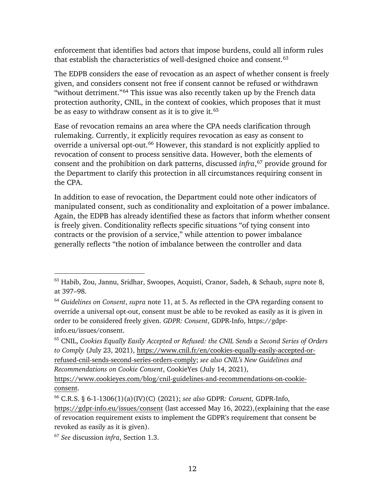enforcement that identifies bad actors that impose burdens, could all inform rules that establish the characteristics of well-designed choice and consent.<sup>[63](#page-16-0)</sup>

The EDPB considers the ease of revocation as an aspect of whether consent is freely given, and considers consent not free if consent cannot be refused or withdrawn "without detriment."<sup>[64](#page-16-1)</sup> This issue was also recently taken up by the French data protection authority, CNIL, in the context of cookies, which proposes that it must be as easy to withdraw consent as it is to give it. [65](#page-16-2)

Ease of revocation remains an area where the CPA needs clarification through rulemaking. Currently, it explicitly requires revocation as easy as consent to override a universal opt-out.<sup>[66](#page-16-3)</sup> However, this standard is not explicitly applied to revocation of consent to process sensitive data. However, both the elements of consent and the prohibition on dark patterns, discussed *infra*, [67](#page-16-4) provide ground for the Department to clarify this protection in all circumstances requiring consent in the CPA.

In addition to ease of revocation, the Department could note other indicators of manipulated consent, such as conditionality and exploitation of a power imbalance. Again, the EDPB has already identified these as factors that inform whether consent is freely given. Conditionality reflects specific situations "of tying consent into contracts or the provision of a service," while attention to power imbalance generally reflects "the notion of imbalance between the controller and data

<span id="page-16-0"></span><sup>63</sup> Habib, Zou, Jannu, Sridhar, Swoopes, Acquisti, Cranor, Sadeh, & Schaub, *supra* note [8,](#page-5-6) at 397–98.

<span id="page-16-1"></span><sup>64</sup> *Guidelines on Consent*, *supra* note [11,](#page-6-2) at 5. As reflected in the CPA regarding consent to override a universal opt-out, consent must be able to be revoked as easily as it is given in order to be considered freely given. *GDPR: Consent*, GDPR-Info, https://gdprinfo.eu/issues/consent.

<span id="page-16-2"></span><sup>65</sup> CNIL, *Cookies Equally Easily Accepted or Refused: the CNIL Sends a Second Series of Orders to Comply* (July 23, 2021), [https://www.cnil.fr/en/cookies-equally-easily-accepted-or](https://www.cnil.fr/en/cookies-equally-easily-accepted-or-refused-cnil-sends-second-series-orders-comply)[refused-cnil-sends-second-series-orders-comply;](https://www.cnil.fr/en/cookies-equally-easily-accepted-or-refused-cnil-sends-second-series-orders-comply) *see also CNIL's New Guidelines and Recommendations on Cookie Consent*, CookieYes (July 14, 2021),

[https://www.cookieyes.com/blog/cnil-guidelines-and-recommendations-on-cookie](https://www.cookieyes.com/blog/cnil-guidelines-and-recommendations-on-cookie-consent)[consent.](https://www.cookieyes.com/blog/cnil-guidelines-and-recommendations-on-cookie-consent)

<span id="page-16-3"></span><sup>66</sup> C.R.S. § 6-1-1306(1)(a)(IV)(C) (2021); *see also* GDPR*: Consent,* GDPR-Info, <https://gdpr-info.eu/issues/consent> (last accessed May 16, 2022),(explaining that the ease of revocation requirement exists to implement the GDPR's requirement that consent be revoked as easily as it is given).

<span id="page-16-4"></span><sup>67</sup> *See* discussion *infra*, Section 1.3.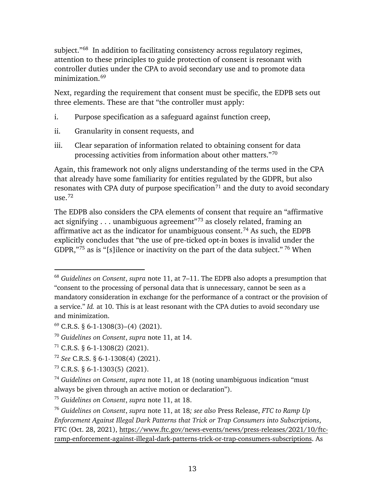subject."<sup>68</sup> In addition to facilitating consistency across regulatory regimes, attention to these principles to guide protection of consent is resonant with controller duties under the CPA to avoid secondary use and to promote data minimization.<sup>[69](#page-17-1)</sup>

Next, regarding the requirement that consent must be specific, the EDPB sets out three elements. These are that "the controller must apply:

- i. Purpose specification as a safeguard against function creep,
- ii. Granularity in consent requests, and
- iii. Clear separation of information related to obtaining consent for data processing activities from information about other matters."[70](#page-17-2)

Again, this framework not only aligns understanding of the terms used in the CPA that already have some familiarity for entities regulated by the GDPR, but also resonates with CPA duty of purpose specification<sup>[71](#page-17-3)</sup> and the duty to avoid secondary  $11$ se.  $72$ 

The EDPB also considers the CPA elements of consent that require an "affirmative act signifying . . . unambiguous agreement"[73](#page-17-5) as closely related, framing an affirmative act as the indicator for unambiguous consent.[74](#page-17-6) As such, the EDPB explicitly concludes that "the use of pre-ticked opt-in boxes is invalid under the GDPR,"[75](#page-17-7) as is "[s]ilence or inactivity on the part of the data subject." [76](#page-17-8) When

<span id="page-17-0"></span><sup>68</sup> *Guidelines on Consent*, *supra* note [11,](#page-6-2) at 7–11. The EDPB also adopts a presumption that "consent to the processing of personal data that is unnecessary, cannot be seen as a mandatory consideration in exchange for the performance of a contract or the provision of a service." *Id.* at 10. This is at least resonant with the CPA duties to avoid secondary use and minimization.

<span id="page-17-1"></span> $69$  C.R.S. § 6-1-1308(3)–(4) (2021).

<span id="page-17-2"></span><sup>70</sup> *Guidelines on Consent*, *supra* note [11,](#page-6-2) at 14.

<span id="page-17-3"></span> $71$  C.R.S. § 6-1-1308(2) (2021).

<span id="page-17-4"></span><sup>72</sup> *See* C.R.S. § 6-1-1308(4) (2021).

<span id="page-17-5"></span> $73$  C.R.S. § 6-1-1303(5) (2021).

<span id="page-17-6"></span><sup>74</sup> *Guidelines on Consent*, *supra* note [11,](#page-6-2) at 18 (noting unambiguous indication "must always be given through an active motion or declaration").

<span id="page-17-7"></span><sup>75</sup> *Guidelines on Consent*, *supra* note [11,](#page-6-2) at 18.

<span id="page-17-8"></span><sup>76</sup> *Guidelines on Consent*, *supra* note [11,](#page-6-2) at 18*; see also* Press Release, *FTC to Ramp Up Enforcement Against Illegal Dark Patterns that Trick or Trap Consumers into Subscriptions*, FTC (Oct. 28, 2021), [https://www.ftc.gov/news-events/news/press-releases/2021/10/ftc](https://www.ftc.gov/news-events/news/press-releases/2021/10/ftc-ramp-enforcement-against-illegal-dark-patterns-trick-or-trap-consumers-subscriptions)[ramp-enforcement-against-illegal-dark-patterns-trick-or-trap-consumers-subscriptions.](https://www.ftc.gov/news-events/news/press-releases/2021/10/ftc-ramp-enforcement-against-illegal-dark-patterns-trick-or-trap-consumers-subscriptions) As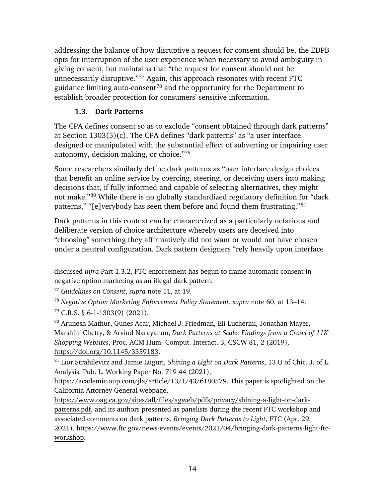addressing the balance of how disruptive a request for consent should be, the EDPB opts for interruption of the user experience when necessary to avoid ambiguity in giving consent, but maintains that "the request for consent should not be unnecessarily disruptive."[77](#page-18-3) Again, this approach resonates with recent FTC guidance limiting auto-consent<sup>[78](#page-18-4)</sup> and the opportunity for the Department to establish broader protection for consumers' sensitive information.

## <span id="page-18-2"></span>**1.3. Dark Patterns**

<span id="page-18-0"></span>The CPA defines consent so as to exclude "consent obtained through dark patterns" at Section 1303(5)(c). The CPA defines "dark patterns" as "a user interface designed or manipulated with the substantial effect of subverting or impairing user autonomy, decision-making, or choice."[79](#page-18-5)

Some researchers similarly define dark patterns as "user interface design choices that benefit an online service by coercing, steering, or deceiving users into making decisions that, if fully informed and capable of selecting alternatives, they might not make."[80](#page-18-6) While there is no globally standardized regulatory definition for "dark patterns," "[e]verybody has seen them before and found them frustrating."[81](#page-18-7)

<span id="page-18-1"></span>Dark patterns in this context can be characterized as a particularly nefarious and deliberate version of choice architecture whereby users are deceived into "choosing" something they affirmatively did not want or would not have chosen under a neutral configuration. Dark pattern designers "rely heavily upon interface

discussed *infra* Part 1.3.2, FTC enforcement has begun to frame automatic consent in negative option marketing as an illegal dark pattern.

<span id="page-18-3"></span><sup>77</sup> *Guidelines on Consent*, *supra* note [11,](#page-6-2) at 19.

<span id="page-18-4"></span><sup>78</sup> *Negative Option Marketing Enforcement Policy Statement*, *supra* note [60,](#page-15-6) at 13–14.

<span id="page-18-5"></span> $79$  C.R.S. § 6-1-1303(9) (2021).

<span id="page-18-6"></span><sup>80</sup> Arunesh Mathur, Gunes Acar, Michael J. Friedman, Eli Lucherini, Jonathan Mayer, Marshini Chetty, & Arvind Narayanan, *Dark Patterns at Scale: Findings from a Crawl of 11K Shopping Websites*, Proc. ACM Hum.-Comput. Interact. 3, CSCW 81, 2 (2019), [https://doi.org/10.1145/3359183.](https://doi.org/10.1145/3359183)

<span id="page-18-7"></span><sup>81</sup> Lior Strahilevitz and Jamie Luguri, *Shining a Light on Dark Patterns*, 13 U of Chic. J. of L. Analysis, Pub. L. Working Paper No. 719 44 (2021),

https://academic.oup.com/jla/article/13/1/43/6180579. This paper is spotlighted on the California Attorney General webpage,

[https://www.oag.ca.gov/sites/all/files/agweb/pdfs/privacy/shining-a-light-on-dark](https://www.oag.ca.gov/sites/all/files/agweb/pdfs/privacy/shining-a-light-on-dark-patterns.pdf)[patterns.pdf,](https://www.oag.ca.gov/sites/all/files/agweb/pdfs/privacy/shining-a-light-on-dark-patterns.pdf) and its authors presented as panelists during the recent FTC workshop and associated comments on dark patterns, *Bringing Dark Patterns to Light*, FTC (Apr. 29, 2021), [https://www.ftc.gov/news-events/events/2021/04/bringing-dark-patterns-light-ftc](https://www.ftc.gov/news-events/events/2021/04/bringing-dark-patterns-light-ftc-workshop)[workshop.](https://www.ftc.gov/news-events/events/2021/04/bringing-dark-patterns-light-ftc-workshop)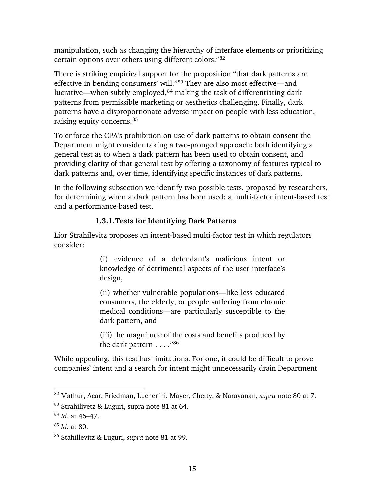manipulation, such as changing the hierarchy of interface elements or prioritizing certain options over others using different colors."[82](#page-19-1)

There is striking empirical support for the proposition "that dark patterns are effective in bending consumers' will."[83](#page-19-2) They are also most effective—and lucrative—when subtly employed,<sup>[84](#page-19-3)</sup> making the task of differentiating dark patterns from permissible marketing or aesthetics challenging. Finally, dark patterns have a disproportionate adverse impact on people with less education, raising equity concerns.[85](#page-19-4)

To enforce the CPA's prohibition on use of dark patterns to obtain consent the Department might consider taking a two-pronged approach: both identifying a general test as to when a dark pattern has been used to obtain consent, and providing clarity of that general test by offering a taxonomy of features typical to dark patterns and, over time, identifying specific instances of dark patterns.

In the following subsection we identify two possible tests, proposed by researchers, for determining when a dark pattern has been used: a multi-factor intent-based test and a performance-based test.

## **1.3.1.Tests for Identifying Dark Patterns**

<span id="page-19-0"></span>Lior Strahilevitz proposes an intent-based multi-factor test in which regulators consider:

> (i) evidence of a defendant's malicious intent or knowledge of detrimental aspects of the user interface's design,

> (ii) whether vulnerable populations—like less educated consumers, the elderly, or people suffering from chronic medical conditions—are particularly susceptible to the dark pattern, and

> (iii) the magnitude of the costs and benefits produced by the dark pattern . . . . ["86](#page-19-5)

While appealing, this test has limitations. For one, it could be difficult to prove companies' intent and a search for intent might unnecessarily drain Department

<span id="page-19-1"></span><sup>82</sup> Mathur, Acar, Friedman, Lucherini, Mayer, Chetty, & Narayanan, *supra* note [80](#page-18-1) at 7.

<span id="page-19-2"></span><sup>83</sup> Strahilivetz & Luguri, supra note [81](#page-18-2) at 64.

<span id="page-19-3"></span><sup>84</sup> *Id.* at 46–47.

<span id="page-19-4"></span><sup>85</sup> *Id.* at 80.

<span id="page-19-5"></span><sup>86</sup> Stahillevitz & Luguri, *supra* note [81](#page-18-2) at 99.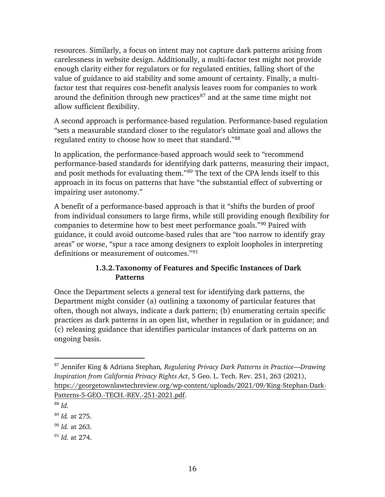resources. Similarly, a focus on intent may not capture dark patterns arising from carelessness in website design. Additionally, a multi-factor test might not provide enough clarity either for regulators or for regulated entities, falling short of the value of guidance to aid stability and some amount of certainty. Finally, a multifactor test that requires cost-benefit analysis leaves room for companies to work around the definition through new practices $87$  and at the same time might not allow sufficient flexibility.

A second approach is performance-based regulation. Performance-based regulation "sets a measurable standard closer to the regulator's ultimate goal and allows the regulated entity to choose how to meet that standard."[88](#page-20-2)

In application, the performance-based approach would seek to "recommend performance-based standards for identifying dark patterns, measuring their impact, and posit methods for evaluating them."[89](#page-20-3) The text of the CPA lends itself to this approach in its focus on patterns that have "the substantial effect of subverting or impairing user autonomy."

A benefit of a performance-based approach is that it "shifts the burden of proof from individual consumers to large firms, while still providing enough flexibility for companies to determine how to best meet performance goals.["90](#page-20-4) Paired with guidance, it could avoid outcome-based rules that are "too narrow to identify gray areas" or worse, "spur a race among designers to exploit loopholes in interpreting definitions or measurement of outcomes."[91](#page-20-5)

## **1.3.2.Taxonomy of Features and Specific Instances of Dark Patterns**

<span id="page-20-0"></span>Once the Department selects a general test for identifying dark patterns, the Department might consider (a) outlining a taxonomy of particular features that often, though not always, indicate a dark pattern; (b) enumerating certain specific practices as dark patterns in an open list, whether in regulation or in guidance; and (c) releasing guidance that identifies particular instances of dark patterns on an ongoing basis.

 $\overline{a}$ 

<span id="page-20-5"></span><sup>91</sup> *Id.* at 274.

<span id="page-20-1"></span><sup>87</sup> Jennifer King & Adriana Stephan*, Regulating Privacy Dark Patterns in Practice—Drawing Inspiration from California Privacy Rights Act*, 5 Geo. L. Tech. Rev. 251, 263 (2021), [https://georgetownlawtechreview.org/wp-content/uploads/2021/09/King-Stephan-Dark-](https://georgetownlawtechreview.org/wp-content/uploads/2021/09/King-Stephan-Dark-Patterns-5-GEO.-TECH.-REV.-251-2021.pdf)[Patterns-5-GEO.-TECH.-REV.-251-2021.pdf.](https://georgetownlawtechreview.org/wp-content/uploads/2021/09/King-Stephan-Dark-Patterns-5-GEO.-TECH.-REV.-251-2021.pdf)

<span id="page-20-2"></span><sup>88</sup> *Id.* 

<span id="page-20-3"></span><sup>89</sup> *Id.* at 275.

<span id="page-20-4"></span><sup>90</sup> *Id.* at 263.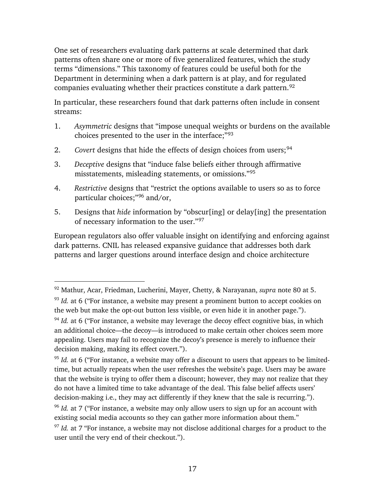One set of researchers evaluating dark patterns at scale determined that dark patterns often share one or more of five generalized features, which the study terms "dimensions." This taxonomy of features could be useful both for the Department in determining when a dark pattern is at play, and for regulated companies evaluating whether their practices constitute a dark pattern.<sup>[92](#page-21-0)</sup>

In particular, these researchers found that dark patterns often include in consent streams:

- 1. *Asymmetric* designs that "impose unequal weights or burdens on the available choices presented to the user in the interface;"[93](#page-21-1)
- 2. *Covert* designs that hide the effects of design choices from users;<sup>[94](#page-21-2)</sup>
- 3. *Deceptive* designs that "induce false beliefs either through affirmative misstatements, misleading statements, or omissions."[95](#page-21-3)
- 4. *Restrictive* designs that "restrict the options available to users so as to force particular choices;"[96](#page-21-4) and/or,
- 5. Designs that *hide* information by "obscur[ing] or delay[ing] the presentation of necessary information to the user."[97](#page-21-5)

European regulators also offer valuable insight on identifying and enforcing against dark patterns. CNIL has released expansive guidance that addresses both dark patterns and larger questions around interface design and choice architecture

<span id="page-21-1"></span><span id="page-21-0"></span><sup>92</sup> Mathur, Acar, Friedman, Lucherini, Mayer, Chetty, & Narayanan, *supra* note [80](#page-18-1) at 5. <sup>93</sup> *Id.* at 6 ("For instance, a website may present a prominent button to accept cookies on the web but make the opt-out button less visible, or even hide it in another page.").

<span id="page-21-2"></span><sup>&</sup>lt;sup>94</sup> *Id.* at 6 ("For instance, a website may leverage the decoy effect cognitive bias, in which an additional choice—the decoy—is introduced to make certain other choices seem more appealing. Users may fail to recognize the decoy's presence is merely to influence their decision making, making its effect covert.").

<span id="page-21-3"></span><sup>&</sup>lt;sup>95</sup> *Id.* at 6 ("For instance, a website may offer a discount to users that appears to be limitedtime, but actually repeats when the user refreshes the website's page. Users may be aware that the website is trying to offer them a discount; however, they may not realize that they do not have a limited time to take advantage of the deal. This false belief affects users' decision-making i.e., they may act differently if they knew that the sale is recurring.").

<span id="page-21-4"></span><sup>96</sup> *Id.* at 7 ("For instance, a website may only allow users to sign up for an account with existing social media accounts so they can gather more information about them."

<span id="page-21-5"></span><sup>&</sup>lt;sup>97</sup> *Id.* at 7 "For instance, a website may not disclose additional charges for a product to the user until the very end of their checkout.").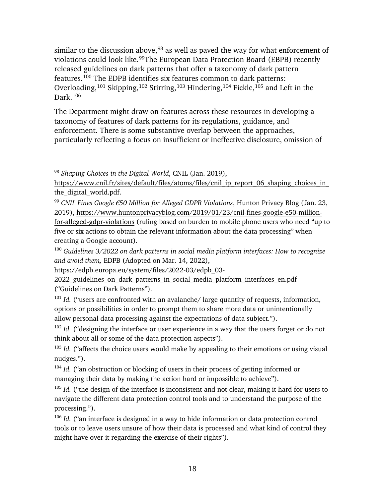similar to the discussion above,  $98$  as well as paved the way for what enforcement of violations could look like. [99](#page-22-1)The European Data Protection Board (EBPB) recently released guidelines on dark patterns that offer a taxonomy of dark pattern features.[100](#page-22-2) The EDPB identifies six features common to dark patterns: Overloading,<sup>[101](#page-22-3)</sup> Skipping,<sup>[102](#page-22-4)</sup> Stirring,<sup>[103](#page-22-5)</sup> Hindering,<sup>[104](#page-22-6)</sup> Fickle,<sup>[105](#page-22-7)</sup> and Left in the Dark.[106](#page-22-8) 

The Department might draw on features across these resources in developing a taxonomy of features of dark patterns for its regulations, guidance, and enforcement. There is some substantive overlap between the approaches, particularly reflecting a focus on insufficient or ineffective disclosure, omission of

 $\overline{a}$ 

[for-alleged-gdpr-violations](https://www.huntonprivacyblog.com/2019/01/23/cnil-fines-google-e50-million-for-alleged-gdpr-violations) (ruling based on burden to mobile phone users who need "up to five or six actions to obtain the relevant information about the data processing" when creating a Google account).

<span id="page-22-2"></span><sup>100</sup> *Guidelines 3/2022 on dark patterns in social media platform interfaces: How to recognize and avoid them,* EDPB (Adopted on Mar. 14, 2022),

<span id="page-22-5"></span><sup>103</sup> *Id.* ("affects the choice users would make by appealing to their emotions or using visual nudges.").

<span id="page-22-6"></span><sup>104</sup> *Id.* ("an obstruction or blocking of users in their process of getting informed or managing their data by making the action hard or impossible to achieve").

<span id="page-22-7"></span><sup>105</sup> *Id.* ("the design of the interface is inconsistent and not clear, making it hard for users to navigate the different data protection control tools and to understand the purpose of the processing.").

<span id="page-22-8"></span><sup>106</sup> *Id.* ("an interface is designed in a way to hide information or data protection control tools or to leave users unsure of how their data is processed and what kind of control they might have over it regarding the exercise of their rights").

<span id="page-22-0"></span><sup>98</sup> *Shaping Choices in the Digital World*, CNIL (Jan. 2019),

https://www.cnil.fr/sites/default/files/atoms/files/cnil\_ip\_report\_06\_shaping\_choices\_in the digital world.pdf.

<span id="page-22-1"></span><sup>99</sup> *CNIL Fines Google €50 Million for Alleged GDPR Violations*, Hunton Privacy Blog (Jan. 23, 2019), [https://www.huntonprivacyblog.com/2019/01/23/cnil-fines-google-e50-million-](https://www.huntonprivacyblog.com/2019/01/23/cnil-fines-google-e50-million-for-alleged-gdpr-violations)

[https://edpb.europa.eu/system/files/2022-03/edpb\\_03-](https://edpb.europa.eu/system/files/2022-03/edpb_03-2022_guidelines_on_dark_patterns_in_social_media_platform_interfaces_en.pdf)

<sup>2022</sup> guidelines on dark patterns in social media platform interfaces en.pdf ("Guidelines on Dark Patterns").

<span id="page-22-3"></span><sup>&</sup>lt;sup>101</sup> Id. ("users are confronted with an avalanche/ large quantity of requests, information, options or possibilities in order to prompt them to share more data or unintentionally allow personal data processing against the expectations of data subject.").

<span id="page-22-4"></span><sup>&</sup>lt;sup>102</sup> Id. ("designing the interface or user experience in a way that the users forget or do not think about all or some of the data protection aspects").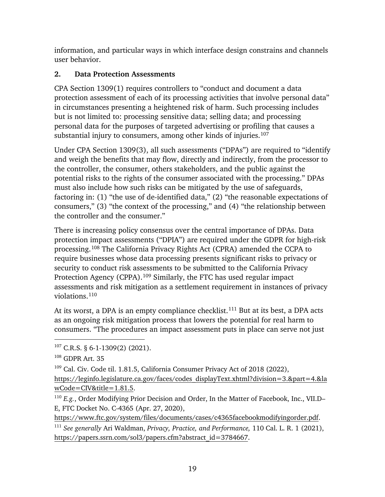information, and particular ways in which interface design constrains and channels user behavior.

# <span id="page-23-0"></span>**2. Data Protection Assessments**

CPA Section 1309(1) requires controllers to "conduct and document a data protection assessment of each of its processing activities that involve personal data" in circumstances presenting a heightened risk of harm. Such processing includes but is not limited to: processing sensitive data; selling data; and processing personal data for the purposes of targeted advertising or profiling that causes a substantial injury to consumers, among other kinds of injuries.<sup>[107](#page-23-1)</sup>

Under CPA Section 1309(3), all such assessments ("DPAs") are required to "identify and weigh the benefits that may flow, directly and indirectly, from the processor to the controller, the consumer, others stakeholders, and the public against the potential risks to the rights of the consumer associated with the processing." DPAs must also include how such risks can be mitigated by the use of safeguards, factoring in: (1) "the use of de-identified data," (2) "the reasonable expectations of consumers," (3) "the context of the processing," and (4) "the relationship between the controller and the consumer."

There is increasing policy consensus over the central importance of DPAs. Data protection impact assessments ("DPIA") are required under the GDPR for high-risk processing.[108](#page-23-2) The California Privacy Rights Act (CPRA) amended the CCPA to require businesses whose data processing presents significant risks to privacy or security to conduct risk assessments to be submitted to the California Privacy Protection Agency (CPPA).[109](#page-23-3) Similarly, the FTC has used regular impact assessments and risk mitigation as a settlement requirement in instances of privacy violations.[110](#page-23-4)

<span id="page-23-6"></span>At its worst, a DPA is an empty compliance checklist.<sup>[111](#page-23-5)</sup> But at its best, a DPA acts as an ongoing risk mitigation process that lowers the potential for real harm to consumers. "The procedures an impact assessment puts in place can serve not just

 $\overline{a}$ 

[https://www.ftc.gov/system/files/documents/cases/c4365facebookmodifyingorder.pdf.](https://www.ftc.gov/system/files/documents/cases/c4365facebookmodifyingorder.pdf)

<span id="page-23-1"></span> $107$  C.R.S. § 6-1-1309(2) (2021).

<span id="page-23-2"></span><sup>108</sup> GDPR Art. 35

<span id="page-23-3"></span><sup>&</sup>lt;sup>109</sup> Cal. Civ. Code til. 1.81.5, California Consumer Privacy Act of 2018 (2022), [https://leginfo.legislature.ca.gov/faces/codes\\_displayText.xhtml?division=3.&part=4.&la](https://leginfo.legislature.ca.gov/faces/codes_displayText.xhtml?division=3.&part=4.&lawCode=CIV&title=1.81.5) [wCode=CIV&title=1.81.5.](https://leginfo.legislature.ca.gov/faces/codes_displayText.xhtml?division=3.&part=4.&lawCode=CIV&title=1.81.5)

<span id="page-23-4"></span><sup>&</sup>lt;sup>110</sup> *E.g.*, Order Modifying Prior Decision and Order, In the Matter of Facebook, Inc., VII.D– E, FTC Docket No. C-4365 (Apr. 27, 2020),

<span id="page-23-5"></span><sup>111</sup> *See generally* Ari Waldman, *Privacy, Practice, and Performance,* 110 Cal. L. R. 1 (2021), [https://papers.ssrn.com/sol3/papers.cfm?abstract\\_id=3784667.](https://papers.ssrn.com/sol3/papers.cfm?abstract_id=3784667)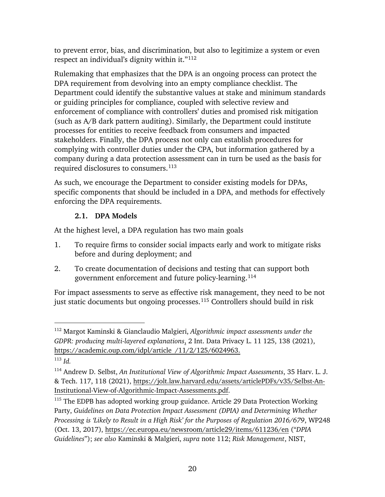<span id="page-24-1"></span>to prevent error, bias, and discrimination, but also to legitimize a system or even respect an individual's dignity within it."[112](#page-24-2) 

Rulemaking that emphasizes that the DPA is an ongoing process can protect the DPA requirement from devolving into an empty compliance checklist. The Department could identify the substantive values at stake and minimum standards or guiding principles for compliance, coupled with selective review and enforcement of compliance with controllers' duties and promised risk mitigation (such as A/B dark pattern auditing). Similarly, the Department could institute processes for entities to receive feedback from consumers and impacted stakeholders. Finally, the DPA process not only can establish procedures for complying with controller duties under the CPA, but information gathered by a company during a data protection assessment can in turn be used as the basis for required disclosures to consumers.[113](#page-24-3)

As such, we encourage the Department to consider existing models for DPAs, specific components that should be included in a DPA, and methods for effectively enforcing the DPA requirements.

## <span id="page-24-6"></span>**2.1. DPA Models**

<span id="page-24-0"></span>At the highest level, a DPA regulation has two main goals

- 1. To require firms to consider social impacts early and work to mitigate risks before and during deployment; and
- 2. To create documentation of decisions and testing that can support both government enforcement and future policy-learning.[114](#page-24-4)

<span id="page-24-7"></span>For impact assessments to serve as effective risk management, they need to be not just static documents but ongoing processes.<sup>[115](#page-24-5)</sup> Controllers should build in risk

<span id="page-24-2"></span><sup>112</sup> Margot Kaminski & Gianclaudio Malgieri, *Algorithmic impact assessments under the GDPR: producing multi-layered explanations*, 2 Int. Data Privacy L. 11 125, 138 (2021), [https://academic.oup.com/idpl/article](https://academic.oup.com/idpl/article/11/2/125/6024963) /11/2/125/6024963.

<span id="page-24-3"></span><sup>113</sup> *Id.*

<span id="page-24-4"></span><sup>114</sup> Andrew D. Selbst, *An Institutional View of Algorithmic Impact Assessments*, 35 Harv. L. J. & Tech. 117, 118 (2021), [https://jolt.law.harvard.edu/assets/articlePDFs/v35/Selbst-An-](https://jolt.law.harvard.edu/assets/articlePDFs/v35/Selbst-An-Institutional-View-of-Algorithmic-Impact-Assessments.pdf)[Institutional-View-of-Algorithmic-Impact-Assessments.pdf.](https://jolt.law.harvard.edu/assets/articlePDFs/v35/Selbst-An-Institutional-View-of-Algorithmic-Impact-Assessments.pdf)

<span id="page-24-5"></span><sup>&</sup>lt;sup>115</sup> The EDPB has adopted working group guidance. Article 29 Data Protection Working Party, *Guidelines on Data Protection Impact Assessment (DPIA) and Determining Whether Processing is 'Likely to Result in a High Risk' for the Purposes of Regulation 2016/679*, WP248 (Oct. 13, 2017),<https://ec.europa.eu/newsroom/article29/items/611236/en>("*DPIA Guidelines*"); *see also* Kaminski & Malgieri, *supra* note [112;](#page-24-1) *Risk Management*, NIST,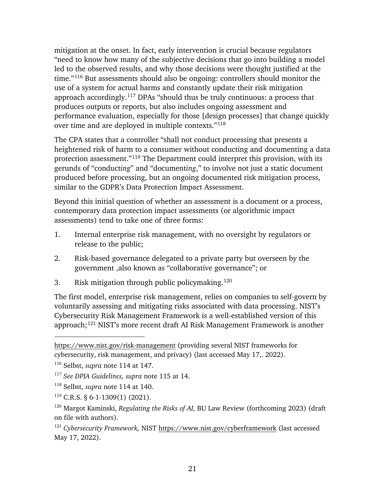mitigation at the onset. In fact, early intervention is crucial because regulators "need to know how many of the subjective decisions that go into building a model led to the observed results, and why those decisions were thought justified at the time."[116](#page-25-0) But assessments should also be ongoing: controllers should monitor the use of a system for actual harms and constantly update their risk mitigation approach accordingly.[117](#page-25-1) DPAs "should thus be truly continuous: a process that produces outputs or reports, but also includes ongoing assessment and performance evaluation, especially for those [design processes] that change quickly over time and are deployed in multiple contexts."[118](#page-25-2)

The CPA states that a controller "shall not conduct processing that presents a heightened risk of harm to a consumer without conducting and documenting a data protection assessment."[119](#page-25-3) The Department could interpret this provision, with its gerunds of "conduct*ing*" and "document*ing*," to involve not just a static document produced before processing, but an ongoing documented risk mitigation process, similar to the GDPR's Data Protection Impact Assessment.

Beyond this initial question of whether an assessment is a document or a process, contemporary data protection impact assessments (or algorithmic impact assessments) tend to take one of three forms:

- 1. Internal enterprise risk management, with no oversight by regulators or release to the public;
- 2. Risk-based governance delegated to a private party but overseen by the government ,also known as "collaborative governance"; or
- 3. Risk mitigation through public policymaking.<sup>[120](#page-25-4)</sup>

The first model, enterprise risk management, relies on companies to self-govern by voluntarily assessing and mitigating risks associated with data processing. NIST's Cybersecurity Risk Management Framework is a well-established version of this approach;[121](#page-25-5) NIST's more recent draft AI Risk Management Framework is another

<https://www.nist.gov/risk-management> (providing several NIST frameworks for cybersecurity, risk management, and privacy) (last accessed May 17,. 2022).

<span id="page-25-0"></span><sup>116</sup> Selbst, *supra* note [114](#page-24-6) at 147.

<span id="page-25-1"></span><sup>117</sup> *See DPIA Guidelines, supra* note [115](#page-24-7) at 14.

<span id="page-25-2"></span><sup>118</sup> Selbst, *supra* note [114](#page-24-6) at 140.

<span id="page-25-3"></span> $119$  C.R.S. § 6-1-1309(1) (2021).

<span id="page-25-4"></span><sup>120</sup> Margot Kaminski, *Regulating the Risks of AI,* BU Law Review (forthcoming 2023) (draft on file with authors).

<span id="page-25-5"></span><sup>121</sup> *Cybersecurity Framework,* NIST<https://www.nist.gov/cyberframework> (last accessed May 17, 2022).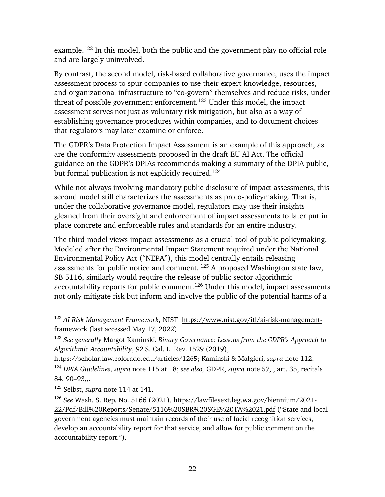example.<sup>122</sup> In this model, both the public and the government play no official role and are largely uninvolved.

<span id="page-26-5"></span>By contrast, the second model, risk-based collaborative governance, uses the impact assessment process to spur companies to use their expert knowledge, resources, and organizational infrastructure to "co-govern" themselves and reduce risks, under threat of possible government enforcement.<sup>[123](#page-26-1)</sup> Under this model, the impact assessment serves not just as voluntary risk mitigation, but also as a way of establishing governance procedures within companies, and to document choices that regulators may later examine or enforce.

The GDPR's Data Protection Impact Assessment is an example of this approach, as are the conformity assessments proposed in the draft EU AI Act. The official guidance on the GDPR's DPIAs recommends making a summary of the DPIA public, but formal publication is not explicitly required.<sup>[124](#page-26-2)</sup>

While not always involving mandatory public disclosure of impact assessments, this second model still characterizes the assessments as proto-policymaking. That is, under the collaborative governance model, regulators may use their insights gleaned from their oversight and enforcement of impact assessments to later put in place concrete and enforceable rules and standards for an entire industry.

The third model views impact assessments as a crucial tool of public policymaking. Modeled after the Environmental Impact Statement required under the National Environmental Policy Act ("NEPA"), this model centrally entails releasing assessments for public notice and comment. [125](#page-26-3) A proposed Washington state law, SB 5116, similarly would require the release of public sector algorithmic accountability reports for public comment.[126](#page-26-4) Under this model, impact assessments not only mitigate risk but inform and involve the public of the potential harms of a

<span id="page-26-0"></span><sup>122</sup> *AI Risk Management Framework,* NIST [https://www.nist.gov/itl/ai-risk-management](https://www.nist.gov/itl/ai-risk-management-framework)[framework](https://www.nist.gov/itl/ai-risk-management-framework) (last accessed May 17, 2022).

<span id="page-26-1"></span><sup>123</sup> *See generally* Margot Kaminski, *Binary Governance: Lessons from the GDPR's Approach to Algorithmic Accountability*, 92 S. Cal. L. Rev. 1529 (2019),

<span id="page-26-2"></span>[https://scholar.law.colorado.edu/articles/1265;](https://scholar.law.colorado.edu/articles/1265) Kaminski & Malgieri, *supra* note [112.](#page-24-1) <sup>124</sup> *DPIA Guidelines*, *supra* note [115](#page-24-7) at 18; *see also,* GDPR, *supra* note [57,](#page-15-7) , art. 35, recitals

<span id="page-26-3"></span><sup>84, 90–93,,.</sup>  <sup>125</sup> Selbst, *supra* note [114](#page-24-6) at 141.

<span id="page-26-4"></span><sup>126</sup> *See* Wash. S. Rep. No. 5166 (2021), [https://lawfilesext.leg.wa.gov/biennium/2021-](https://lawfilesext.leg.wa.gov/biennium/2021-22/Pdf/Bill%20Reports/Senate/5116%20SBR%20SGE%20TA%2021.pdf) [22/Pdf/Bill%20Reports/Senate/5116%20SBR%20SGE%20TA%2021.pdf](https://lawfilesext.leg.wa.gov/biennium/2021-22/Pdf/Bill%20Reports/Senate/5116%20SBR%20SGE%20TA%2021.pdf) ("State and local government agencies must maintain records of their use of facial recognition services, develop an accountability report for that service, and allow for public comment on the accountability report.").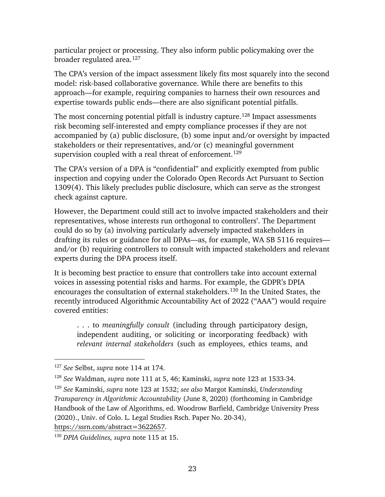particular project or processing. They also inform public policymaking over the broader regulated area.[127](#page-27-0)

The CPA's version of the impact assessment likely fits most squarely into the second model: risk-based collaborative governance. While there are benefits to this approach—for example, requiring companies to harness their own resources and expertise towards public ends—there are also significant potential pitfalls.

The most concerning potential pitfall is industry capture.<sup>[128](#page-27-1)</sup> Impact assessments risk becoming self-interested and empty compliance processes if they are not accompanied by (a) public disclosure, (b) some input and/or oversight by impacted stakeholders or their representatives, and/or (c) meaningful government supervision coupled with a real threat of enforcement.<sup>[129](#page-27-2)</sup>

The CPA's version of a DPA is "confidential" and explicitly exempted from public inspection and copying under the Colorado Open Records Act Pursuant to Section 1309(4). This likely precludes public disclosure, which can serve as the strongest check against capture.

However, the Department could still act to involve impacted stakeholders and their representatives, whose interests run orthogonal to controllers'. The Department could do so by (a) involving particularly adversely impacted stakeholders in drafting its rules or guidance for all DPAs—as, for example, WA SB 5116 requires and/or (b) requiring controllers to consult with impacted stakeholders and relevant experts during the DPA process itself.

It is becoming best practice to ensure that controllers take into account external voices in assessing potential risks and harms. For example, the GDPR's DPIA encourages the consultation of external stakeholders.[130](#page-27-3) In the United States, the recently introduced Algorithmic Accountability Act of 2022 ("AAA") would require covered entities:

. . . to *meaningfully consult* (including through participatory design, independent auditing, or soliciting or incorporating feedback) with *relevant internal stakeholders* (such as employees, ethics teams, and

<span id="page-27-0"></span><sup>127</sup> *See* Selbst, *supra* note [114](#page-24-6) at 174.

<span id="page-27-1"></span><sup>128</sup> *See* Waldman, *supra* note [111](#page-23-6) at 5, 46; Kaminski, *supra* note [123](#page-26-5) at 1533-34.

<span id="page-27-2"></span><sup>129</sup> *See* Kaminski, *supra* note [123](#page-26-5) at 1532; *see also* Margot Kaminski, *Understanding Transparency in Algorithmic Accountability* (June 8, 2020) (forthcoming in Cambridge Handbook of the Law of Algorithms, ed. Woodrow Barfield, Cambridge University Press (2020)., Univ. of Colo. L. Legal Studies Rsch. Paper No. 20-34), [https://ssrn.com/abstract=3622657.](https://ssrn.com/abstract=3622657)

<span id="page-27-3"></span><sup>130</sup> *DPIA Guidelines, supra* note [115](#page-24-7) at 15.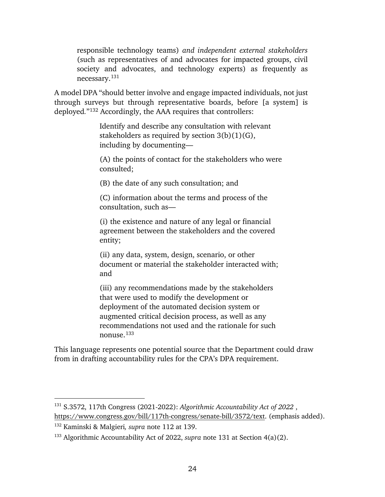<span id="page-28-0"></span>responsible technology teams) *and independent external stakeholders* (such as representatives of and advocates for impacted groups, civil society and advocates, and technology experts) as frequently as necessary[.131](#page-28-1)

A model DPA "should better involve and engage impacted individuals, not just through surveys but through representative boards, before [a system] is deployed*.*"[132](#page-28-2) Accordingly, the AAA requires that controllers:

> Identify and describe any consultation with relevant stakeholders as required by section 3(b)(1)(G), including by documenting—

(A) the points of contact for the stakeholders who were consulted;

(B) the date of any such consultation; and

(C) information about the terms and process of the consultation, such as—

(i) the existence and nature of any legal or financial agreement between the stakeholders and the covered entity;

(ii) any data, system, design, scenario, or other document or material the stakeholder interacted with; and

(iii) any recommendations made by the stakeholders that were used to modify the development or deployment of the automated decision system or augmented critical decision process, as well as any recommendations not used and the rationale for such nonuse.[133](#page-28-3)

This language represents one potential source that the Department could draw from in drafting accountability rules for the CPA's DPA requirement.

<span id="page-28-1"></span><sup>131</sup> S.3572, 117th Congress (2021-2022): *Algorithmic Accountability Act of 2022* , [https://www.congress.gov/bill/117th-congress/senate-bill/3572/text.](https://www.congress.gov/bill/117th-congress/senate-bill/3572/text) (emphasis added).

<span id="page-28-2"></span><sup>132</sup> Kaminski & Malgieri*, supra* note [112](#page-24-1) at 139.

<span id="page-28-3"></span><sup>133</sup> Algorithmic Accountability Act of 2022, *supra* note [131](#page-28-0) at Section 4(a)(2).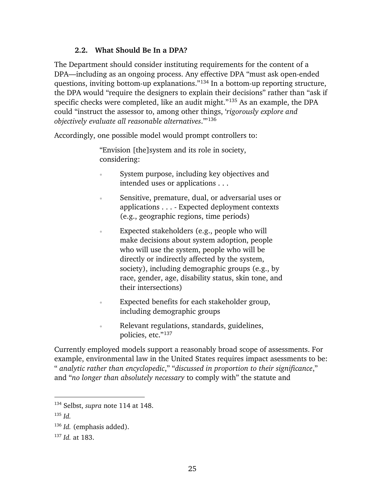#### **2.2. What Should Be In a DPA?**

<span id="page-29-0"></span>The Department should consider instituting requirements for the content of a DPA—including as an ongoing process. Any effective DPA "must ask open-ended questions, inviting bottom-up explanations."[134](#page-29-1) In a bottom-up reporting structure, the DPA would "require the designers to explain their decisions" rather than "ask if specific checks were completed, like an audit might."[135](#page-29-2) As an example, the DPA could "instruct the assessor to, among other things, '*rigorously explore and objectively evaluate all reasonable alternatives*.'"[136](#page-29-3)

Accordingly, one possible model would prompt controllers to:

"Envision [the]system and its role in society, considering:

- System purpose, including key objectives and intended uses or applications . . .
- Sensitive, premature, dual, or adversarial uses or applications . . . - Expected deployment contexts (e.g., geographic regions, time periods)
- Expected stakeholders (e.g., people who will make decisions about system adoption, people who will use the system, people who will be directly or indirectly affected by the system, society), including demographic groups (e.g., by race, gender, age, disability status, skin tone, and their intersections)
- Expected benefits for each stakeholder group, including demographic groups
- Relevant regulations, standards, guidelines, policies, etc."[137](#page-29-4)

Currently employed models support a reasonably broad scope of assessments. For example, environmental law in the United States requires impact asessments to be: " *analytic rather than encyclopedic*," "*discussed in proportion to their significance*," and "*no longer than absolutely necessary* to comply with" the statute and

<span id="page-29-1"></span><sup>134</sup> Selbst, *supra* note [114](#page-24-6) at 148.

<span id="page-29-2"></span><sup>135</sup> *Id.*

<span id="page-29-3"></span><sup>136</sup> *Id.* (emphasis added).

<span id="page-29-4"></span><sup>137</sup> *Id.* at 183.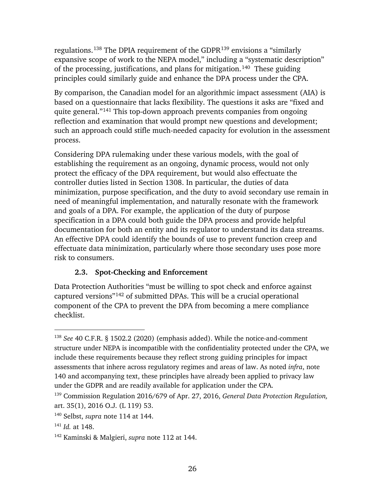<span id="page-30-1"></span>regulations.<sup>[138](#page-30-2)</sup> The DPIA requirement of the GDPR<sup>[139](#page-30-3)</sup> envisions a "similarly expansive scope of work to the NEPA model," including a "systematic description" of the processing, justifications, and plans for mitigation.<sup>140</sup> These guiding principles could similarly guide and enhance the DPA process under the CPA.

By comparison, the Canadian model for an algorithmic impact assessment (AIA) is based on a questionnaire that lacks flexibility. The questions it asks are "fixed and quite general."[141](#page-30-5) This top-down approach prevents companies from ongoing reflection and examination that would prompt new questions and development; such an approach could stifle much-needed capacity for evolution in the assessment process.

Considering DPA rulemaking under these various models, with the goal of establishing the requirement as an ongoing, dynamic process, would not only protect the efficacy of the DPA requirement, but would also effectuate the controller duties listed in Section 1308. In particular, the duties of data minimization, purpose specification, and the duty to avoid secondary use remain in need of meaningful implementation, and naturally resonate with the framework and goals of a DPA. For example, the application of the duty of purpose specification in a DPA could both guide the DPA process and provide helpful documentation for both an entity and its regulator to understand its data streams. An effective DPA could identify the bounds of use to prevent function creep and effectuate data minimization, particularly where those secondary uses pose more risk to consumers.

## **2.3. Spot-Checking and Enforcement**

<span id="page-30-0"></span>Data Protection Authorities "must be willing to spot check and enforce against captured versions"[142](#page-30-6) of submitted DPAs. This will be a crucial operational component of the CPA to prevent the DPA from becoming a mere compliance checklist.

<span id="page-30-2"></span><sup>138</sup> *See* 40 C.F.R. § 1502.2 (2020) (emphasis added). While the notice-and-comment structure under NEPA is incompatible with the confidentiality protected under the CPA, we include these requirements because they reflect strong guiding principles for impact assessments that inhere across regulatory regimes and areas of law. As noted *infra*, note [140](#page-30-1) and accompanying text, these principles have already been applied to privacy law under the GDPR and are readily available for application under the CPA.

<span id="page-30-3"></span><sup>139</sup> Commission Regulation 2016/679 of Apr. 27, 2016, *General Data Protection Regulation,* art. 35(1), 2016 O.J. (L 119) 53.

<span id="page-30-4"></span><sup>140</sup> Selbst, *supra* note [114](#page-24-6) at 144.

<span id="page-30-5"></span><sup>141</sup> *Id.* at 148.

<span id="page-30-6"></span><sup>142</sup> Kaminski & Malgieri, *supra* note [112](#page-24-1) at 144.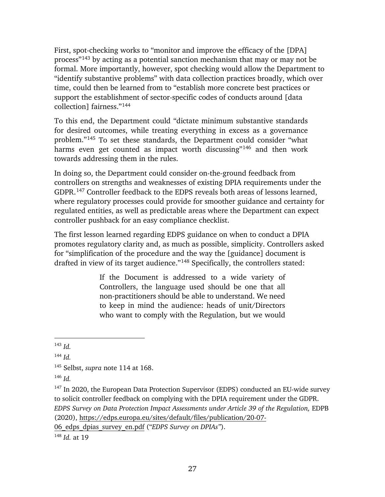First, spot-checking works to "monitor and improve the efficacy of the [DPA] process"[143](#page-31-0) by acting as a potential sanction mechanism that may or may not be formal. More importantly, however, spot checking would allow the Department to "identify substantive problems" with data collection practices broadly, which over time, could then be learned from to "establish more concrete best practices or support the establishment of sector-specific codes of conducts around [data collection] fairness."[144](#page-31-1)

To this end, the Department could "dictate minimum substantive standards for desired outcomes, while treating everything in excess as a governance problem."[145](#page-31-2) To set these standards, the Department could consider "what harms even get counted as impact worth discussing"<sup>[146](#page-31-3)</sup> and then work towards addressing them in the rules.

<span id="page-31-6"></span>In doing so, the Department could consider on-the-ground feedback from controllers on strengths and weaknesses of existing DPIA requirements under the GDPR.[147](#page-31-4) Controller feedback to the EDPS reveals both areas of lessons learned, where regulatory processes could provide for smoother guidance and certainty for regulated entities, as well as predictable areas where the Department can expect controller pushback for an easy compliance checklist.

The first lesson learned regarding EDPS guidance on when to conduct a DPIA promotes regulatory clarity and, as much as possible, simplicity. Controllers asked for "simplification of the procedure and the way the [guidance] document is drafted in view of its target audience."[148](#page-31-5) Specifically, the controllers stated:

> If the Document is addressed to a wide variety of Controllers, the language used should be one that all non-practitioners should be able to understand. We need to keep in mind the audience: heads of unit/Directors who want to comply with the Regulation, but we would

 $\overline{a}$ 

[06\\_edps\\_dpias\\_survey\\_en.pdf](https://edps.europa.eu/sites/default/files/publication/20-07-06_edps_dpias_survey_en.pdf) ("*EDPS Survey on DPIAs"*).

<span id="page-31-0"></span><sup>143</sup> *Id.*

<span id="page-31-1"></span><sup>144</sup> *Id.*

<span id="page-31-2"></span><sup>145</sup> Selbst, *supra* note [114](#page-24-6) at 168.

<span id="page-31-3"></span><sup>146</sup> *Id.*

<span id="page-31-4"></span><sup>&</sup>lt;sup>147</sup> In 2020, the European Data Protection Supervisor (EDPS) conducted an EU-wide survey to solicit controller feedback on complying with the DPIA requirement under the GDPR. *EDPS Survey on Data Protection Impact Assessments under Article 39 of the Regulation,* EDPB (2020), [https://edps.europa.eu/sites/default/files/publication/20-07-](https://edps.europa.eu/sites/default/files/publication/20-07-06_edps_dpias_survey_en.pdf)

<span id="page-31-5"></span><sup>148</sup> *Id.* at 19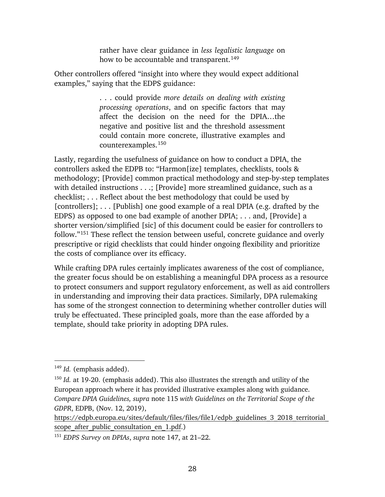rather have clear guidance in *less legalistic language* on how to be accountable and transparent.<sup>[149](#page-32-0)</sup>

Other controllers offered "insight into where they would expect additional examples," saying that the EDPS guidance:

> . . . could provide *more details on dealing with existing processing operations*, and on specific factors that may affect the decision on the need for the DPIA…the negative and positive list and the threshold assessment could contain more concrete, illustrative examples and counterexamples.[150](#page-32-1)

Lastly, regarding the usefulness of guidance on how to conduct a DPIA, the controllers asked the EDPB to: "Harmon[ize] templates, checklists, tools & methodology; [Provide] common practical methodology and step-by-step templates with detailed instructions . . .; [Provide] more streamlined guidance, such as a checklist; . . . Reflect about the best methodology that could be used by [controllers]; . . . [Publish] one good example of a real DPIA (e.g. drafted by the EDPS) as opposed to one bad example of another DPIA; . . . and, [Provide] a shorter version/simplified [sic] of this document could be easier for controllers to follow."[151](#page-32-2) These reflect the tension between useful, concrete guidance and overly prescriptive or rigid checklists that could hinder ongoing flexibility and prioritize the costs of compliance over its efficacy.

While crafting DPA rules certainly implicates awareness of the cost of compliance, the greater focus should be on establishing a meaningful DPA process as a resource to protect consumers and support regulatory enforcement, as well as aid controllers in understanding and improving their data practices. Similarly, DPA rulemaking has some of the strongest connection to determining whether controller duties will truly be effectuated. These principled goals, more than the ease afforded by a template, should take priority in adopting DPA rules.

<span id="page-32-0"></span><sup>149</sup> *Id.* (emphasis added).

<span id="page-32-1"></span><sup>150</sup> *Id.* at 19-20. (emphasis added). This also illustrates the strength and utility of the European approach where it has provided illustrative examples along with guidance. *Compare DPIA Guidelines, supra* note [115](#page-24-7) *with Guidelines on the Territorial Scope of the GDPR*, EDPB, (Nov. 12, 2019),

https://edpb.europa.eu/sites/default/files/files/file1/edpb\_guidelines\_3\_2018\_territorial scope after public consultation en 1.pdf.)

<span id="page-32-2"></span><sup>151</sup> *EDPS Survey on DPIAs*, *supra* note [147,](#page-31-6) at 21–22.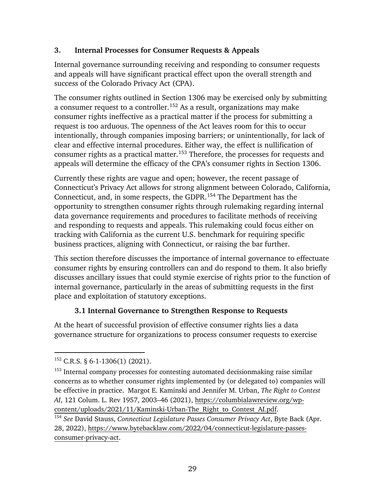### <span id="page-33-0"></span>**3. Internal Processes for Consumer Requests & Appeals**

Internal governance surrounding receiving and responding to consumer requests and appeals will have significant practical effect upon the overall strength and success of the Colorado Privacy Act (CPA).

The consumer rights outlined in Section 1306 may be exercised only by submitting a consumer request to a controller.[152](#page-33-2) As a result, organizations may make consumer rights ineffective as a practical matter if the process for submitting a request is too arduous. The openness of the Act leaves room for this to occur intentionally, through companies imposing barriers; or unintentionally, for lack of clear and effective internal procedures. Either way, the effect is nullification of consumer rights as a practical matter.[153](#page-33-3) Therefore, the processes for requests and appeals will determine the efficacy of the CPA's consumer rights in Section 1306.

<span id="page-33-5"></span>Currently these rights are vague and open; however, the recent passage of Connecticut's Privacy Act allows for strong alignment between Colorado, California, Connecticut, and, in some respects, the GDPR. [154](#page-33-4) The Department has the opportunity to strengthen consumer rights through rulemaking regarding internal data governance requirements and procedures to facilitate methods of receiving and responding to requests and appeals. This rulemaking could focus either on tracking with California as the current U.S. benchmark for requiring specific business practices, aligning with Connecticut, or raising the bar further.

This section therefore discusses the importance of internal governance to effectuate consumer rights by ensuring controllers can and do respond to them. It also briefly discusses ancillary issues that could stymie exercise of rights prior to the function of internal governance, particularly in the areas of submitting requests in the first place and exploitation of statutory exceptions.

## **3.1 Internal Governance to Strengthen Response to Requests**

<span id="page-33-1"></span>At the heart of successful provision of effective consumer rights lies a data governance structure for organizations to process consumer requests to exercise

<span id="page-33-2"></span> $^{152}$  C.R.S. § 6-1-1306(1) (2021).

<span id="page-33-3"></span><sup>&</sup>lt;sup>153</sup> Internal company processes for contesting automated decisionmaking raise similar concerns as to whether consumer rights implemented by (or delegated to) companies will be effective in practice. Margot E. Kaminski and Jennifer M. Urban, *The Right to Contest AI*, 121 Colum. L. Rev 1957, 2003–46 (2021), [https://columbialawreview.org/wp](https://columbialawreview.org/wp-content/uploads/2021/11/Kaminski-Urban-The_Right_to_Contest_AI.pdf)[content/uploads/2021/11/Kaminski-Urban-The\\_Right\\_to\\_Contest\\_AI.pdf.](https://columbialawreview.org/wp-content/uploads/2021/11/Kaminski-Urban-The_Right_to_Contest_AI.pdf) 154 *See* David Stauss, *Connecticut Legislature Passes Consumer Privacy Act*, Byte Back (Apr.

<span id="page-33-4"></span><sup>28, 2022),</sup> [https://www.bytebacklaw.com/2022/04/connecticut-legislature-passes](https://www.bytebacklaw.com/2022/04/connecticut-legislature-passes-consumer-privacy-act)[consumer-privacy-act.](https://www.bytebacklaw.com/2022/04/connecticut-legislature-passes-consumer-privacy-act)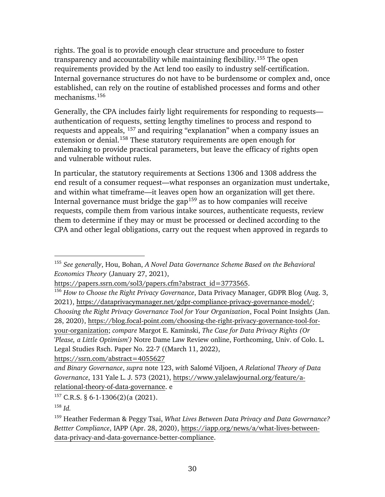rights. The goal is to provide enough clear structure and procedure to foster transparency and accountability while maintaining flexibility.[155](#page-34-0) The open requirements provided by the Act lend too easily to industry self-certification. Internal governance structures do not have to be burdensome or complex and, once established, can rely on the routine of established processes and forms and other mechanisms.[156](#page-34-1)

Generally, the CPA includes fairly light requirements for responding to requests authentication of requests, setting lengthy timelines to process and respond to requests and appeals, [157](#page-34-2) and requiring "explanation" when a company issues an extension or denial.[158](#page-34-3) These statutory requirements are open enough for rulemaking to provide practical parameters, but leave the efficacy of rights open and vulnerable without rules.

In particular, the statutory requirements at Sections 1306 and 1308 address the end result of a consumer request—what responses an organization must undertake, and within what timeframe—it leaves open how an organization will get there. Internal governance must bridge the gap<sup>[159](#page-34-4)</sup> as to how companies will receive requests, compile them from various intake sources, authenticate requests, review them to determine if they may or must be processed or declined according to the CPA and other legal obligations, carry out the request when approved in regards to

<https://ssrn.com/abstract=4055627>

<span id="page-34-0"></span><sup>155</sup> *See generally*, Hou, Bohan, *A Novel Data Governance Scheme Based on the Behavioral Economics Theory* (January 27, 2021),

<span id="page-34-1"></span>[https://papers.ssrn.com/sol3/papers.cfm?abstract\\_id=3773565.](https://papers.ssrn.com/sol3/papers.cfm?abstract_id=3773565)<br><sup>156</sup> *How to Choose the Right Privacy Governance*, Data Privacy Manager, GDPR Blog (Aug. 3, 2021), [https://dataprivacymanager.net/gdpr-compliance-privacy-governance-model/;](https://dataprivacymanager.net/gdpr-compliance-privacy-governance-model/) *Choosing the Right Privacy Governance Tool for Your Organization*, Focal Point Insights (Jan. 28, 2020), [https://blog.focal-point.com/choosing-the-right-privacy-governance-tool-for](https://blog.focal-point.com/choosing-the-right-privacy-governance-tool-for-your-organization)[your-organization;](https://blog.focal-point.com/choosing-the-right-privacy-governance-tool-for-your-organization) *compare* Margot E. Kaminski, *The Case for Data Privacy Rights (Or 'Please, a Little Optimism')* Notre Dame Law Review online, Forthcoming, Univ. of Colo. L. Legal Studies Rsch. Paper No. 22-7 ((March 11, 2022),

*and Binary Governance*, *supra* note [123,](#page-26-5) *with* Salomé Viljoen, *A Relational Theory of Data Governance*, 131 Yale L. J. 573 (2021), [https://www.yalelawjournal.org/feature/a](https://www.yalelawjournal.org/feature/a-relational-theory-of-data-governance)[relational-theory-of-data-governance.](https://www.yalelawjournal.org/feature/a-relational-theory-of-data-governance) e

<span id="page-34-2"></span><sup>157</sup> C.R.S. § 6-1-1306(2)(a (2021).

<span id="page-34-3"></span> $158$  *Id.* 

<span id="page-34-4"></span><sup>159</sup> Heather Federman & Peggy Tsai, *What Lives Between Data Privacy and Data Governance? Bettter Compliance*, IAPP (Apr. 28, 2020), [https://iapp.org/news/a/what-lives-between](https://iapp.org/news/a/what-lives-between-data-privacy-and-data-governance-better-compliance)[data-privacy-and-data-governance-better-compliance.](https://iapp.org/news/a/what-lives-between-data-privacy-and-data-governance-better-compliance)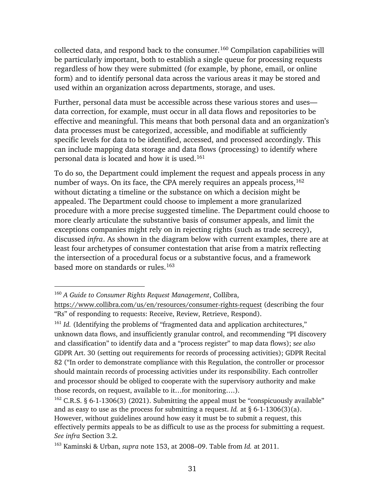collected data, and respond back to the consumer.[160](#page-35-0) Compilation capabilities will be particularly important, both to establish a single queue for processing requests regardless of how they were submitted (for example, by phone, email, or online form) and to identify personal data across the various areas it may be stored and used within an organization across departments, storage, and uses.

Further, personal data must be accessible across these various stores and uses data correction, for example, must occur in all data flows and repositories to be effective and meaningful. This means that both personal data and an organization's data processes must be categorized, accessible, and modifiable at sufficiently specific levels for data to be identified, accessed, and processed accordingly. This can include mapping data storage and data flows (processing) to identify where personal data is located and how it is used.[161](#page-35-1)

To do so, the Department could implement the request and appeals process in any number of ways. On its face, the CPA merely requires an appeals process,  $162$ without dictating a timeline or the substance on which a decision might be appealed. The Department could choose to implement a more granularized procedure with a more precise suggested timeline. The Department could choose to more clearly articulate the substantive basis of consumer appeals, and limit the exceptions companies might rely on in rejecting rights (such as trade secrecy), discussed *infra*. As shown in the diagram below with current examples, there are at least four archetypes of consumer contestation that arise from a matrix reflecting the intersection of a procedural focus or a substantive focus, and a framework based more on standards or rules.<sup>[163](#page-35-3)</sup>

<span id="page-35-0"></span><sup>160</sup> *A Guide to Consumer Rights Request Management*, Collibra,

<https://www.collibra.com/us/en/resources/consumer-rights-request> (describing the four "Rs" of responding to requests: Receive, Review, Retrieve, Respond).

<span id="page-35-1"></span><sup>&</sup>lt;sup>161</sup> *Id.* (Identifying the problems of "fragmented data and application architectures," unknown data flows, and insufficiently granular control, and recommending "PI discovery and classification" to identify data and a "process register" to map data flows); s*ee also*  GDPR Art. 30 (setting out requirements for records of processing activities); GDPR Recital 82 ("In order to demonstrate compliance with this Regulation, the controller or processor should maintain records of processing activities under its responsibility. Each controller and processor should be obliged to cooperate with the supervisory authority and make those records, on request, available to it…for monitoring….).

<span id="page-35-2"></span><sup>&</sup>lt;sup>162</sup> C.R.S. § 6-1-1306(3) (2021). Submitting the appeal must be "conspicuously available" and as easy to use as the process for submitting a request. *Id.* at § 6-1-1306(3)(a). However, without guidelines around how easy it must be to submit a request, this effectively permits appeals to be as difficult to use as the process for submitting a request. *See infra* Section 3.2.

<span id="page-35-3"></span><sup>163</sup> Kaminski & Urban, *supra* note [153,](#page-33-5) at 2008–09. Table from *Id.* at 2011.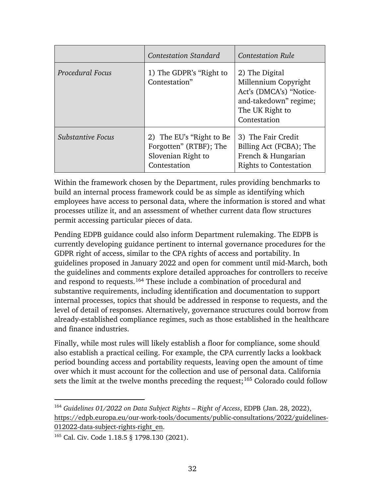|                          | <b>Contestation Standard</b>                                                             | <b>Contestation Rule</b>                                                                                                      |
|--------------------------|------------------------------------------------------------------------------------------|-------------------------------------------------------------------------------------------------------------------------------|
| Procedural Focus         | 1) The GDPR's "Right to<br>Contestation"                                                 | 2) The Digital<br>Millennium Copyright<br>Act's (DMCA's) "Notice-<br>and-takedown" regime;<br>The UK Right to<br>Contestation |
| <b>Substantive Focus</b> | 2) The EU's "Right to Be<br>Forgotten" (RTBF); The<br>Slovenian Right to<br>Contestation | 3) The Fair Credit<br>Billing Act (FCBA); The<br>French & Hungarian<br><b>Rights to Contestation</b>                          |

Within the framework chosen by the Department, rules providing benchmarks to build an internal process framework could be as simple as identifying which employees have access to personal data, where the information is stored and what processes utilize it, and an assessment of whether current data flow structures permit accessing particular pieces of data.

Pending EDPB guidance could also inform Department rulemaking. The EDPB is currently developing guidance pertinent to internal governance procedures for the GDPR right of access, similar to the CPA rights of access and portability. In guidelines proposed in January 2022 and open for comment until mid-March, both the guidelines and comments explore detailed approaches for controllers to receive and respond to requests.[164](#page-36-0) These include a combination of procedural and substantive requirements, including identification and documentation to support internal processes, topics that should be addressed in response to requests, and the level of detail of responses. Alternatively, governance structures could borrow from already-established compliance regimes, such as those established in the healthcare and finance industries.

Finally, while most rules will likely establish a floor for compliance, some should also establish a practical ceiling. For example, the CPA currently lacks a lookback period bounding access and portability requests, leaving open the amount of time over which it must account for the collection and use of personal data. California sets the limit at the twelve months preceding the request;<sup>[165](#page-36-1)</sup> Colorado could follow

<span id="page-36-0"></span><sup>164</sup> *Guidelines 01/2022 on Data Subject Rights – Right of Access*, EDPB (Jan. 28, 2022), [https://edpb.europa.eu/our-work-tools/documents/public-consultations/2022/guidelines-](https://edpb.europa.eu/our-work-tools/documents/public-consultations/2022/guidelines-012022-data-subject-rights-right_en)[012022-data-subject-rights-right\\_en.](https://edpb.europa.eu/our-work-tools/documents/public-consultations/2022/guidelines-012022-data-subject-rights-right_en)

<span id="page-36-1"></span><sup>&</sup>lt;sup>165</sup> Cal. Civ. Code 1.18.5 § 1798.130 (2021).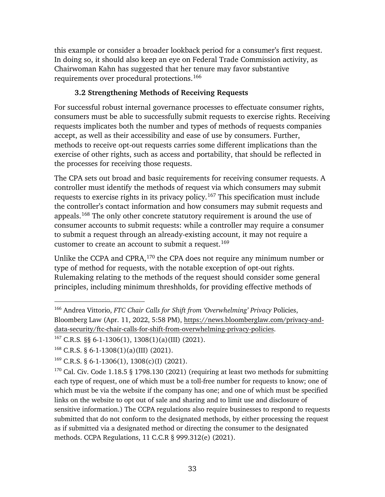this example or consider a broader lookback period for a consumer's first request. In doing so, it should also keep an eye on Federal Trade Commission activity, as Chairwoman Kahn has suggested that her tenure may favor substantive requirements over procedural protections.[166](#page-37-1)

## **3.2 Strengthening Methods of Receiving Requests**

<span id="page-37-0"></span>For successful robust internal governance processes to effectuate consumer rights, consumers must be able to successfully submit requests to exercise rights. Receiving requests implicates both the number and types of methods of requests companies accept, as well as their accessibility and ease of use by consumers. Further, methods to receive opt-out requests carries some different implications than the exercise of other rights, such as access and portability, that should be reflected in the processes for receiving those requests.

The CPA sets out broad and basic requirements for receiving consumer requests. A controller must identify the methods of request via which consumers may submit requests to exercise rights in its privacy policy.[167](#page-37-2) This specification must include the controller's contact information and how consumers may submit requests and appeals.[168](#page-37-3) The only other concrete statutory requirement is around the use of consumer accounts to submit requests: while a controller may require a consumer to submit a request through an already-existing account, it may not require a customer to create an account to submit a request.<sup>169</sup>

Unlike the CCPA and CPRA,[170](#page-37-5) the CPA does not require any minimum number or type of method for requests, with the notable exception of opt-out rights. Rulemaking relating to the methods of the request should consider some general principles, including minimum threshholds, for providing effective methods of

<span id="page-37-1"></span><sup>166</sup> Andrea Vittorio, *FTC Chair Calls for Shift from 'Overwhelming' Privacy* Policies, Bloomberg Law (Apr. 11, 2022, 5:58 PM), [https://news.bloomberglaw.com/privacy-and](https://news.bloomberglaw.com/privacy-and-data-security/ftc-chair-calls-for-shift-from-overwhelming-privacy-policies)[data-security/ftc-chair-calls-for-shift-from-overwhelming-privacy-policies.](https://news.bloomberglaw.com/privacy-and-data-security/ftc-chair-calls-for-shift-from-overwhelming-privacy-policies)

<span id="page-37-2"></span><sup>167</sup> C.R.S*.* §§ 6-1-1306(1), 1308(1)(a)(III) (2021).

<span id="page-37-3"></span><sup>&</sup>lt;sup>168</sup> C.R.S. § 6-1-1308(1)(a)(III) (2021).

<span id="page-37-4"></span><sup>&</sup>lt;sup>169</sup> C.R.S. § 6-1-1306(1), 1308(c)(I) (2021).

<span id="page-37-5"></span> $170$  Cal. Civ. Code 1.18.5 § 1798.130 (2021) (requiring at least two methods for submitting each type of request, one of which must be a toll-free number for requests to know; one of which must be via the website if the company has one; and one of which must be specified links on the website to opt out of sale and sharing and to limit use and disclosure of sensitive information.) The CCPA regulations also require businesses to respond to requests submitted that do not conform to the designated methods, by either processing the request as if submitted via a designated method or directing the consumer to the designated methods. CCPA Regulations, 11 C.C.R § 999.312(e) (2021).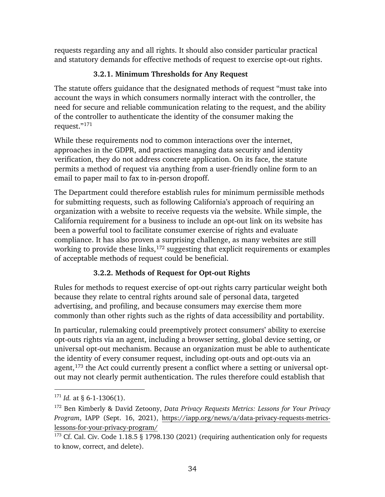requests regarding any and all rights. It should also consider particular practical and statutory demands for effective methods of request to exercise opt-out rights.

# **3.2.1. Minimum Thresholds for Any Request**

<span id="page-38-0"></span>The statute offers guidance that the designated methods of request "must take into account the ways in which consumers normally interact with the controller, the need for secure and reliable communication relating to the request, and the ability of the controller to authenticate the identity of the consumer making the request."[171](#page-38-2)

While these requirements nod to common interactions over the internet, approaches in the GDPR, and practices managing data security and identity verification, they do not address concrete application. On its face, the statute permits a method of request via anything from a user-friendly online form to an email to paper mail to fax to in-person dropoff.

The Department could therefore establish rules for minimum permissible methods for submitting requests, such as following California's approach of requiring an organization with a website to receive requests via the website. While simple, the California requirement for a business to include an opt-out link on its website has been a powerful tool to facilitate consumer exercise of rights and evaluate compliance. It has also proven a surprising challenge, as many websites are still working to provide these links,<sup>[172](#page-38-3)</sup> suggesting that explicit requirements or examples of acceptable methods of request could be beneficial.

# **3.2.2. Methods of Request for Opt-out Rights**

<span id="page-38-1"></span>Rules for methods to request exercise of opt-out rights carry particular weight both because they relate to central rights around sale of personal data, targeted advertising, and profiling, and because consumers may exercise them more commonly than other rights such as the rights of data accessibility and portability.

In particular, rulemaking could preemptively protect consumers' ability to exercise opt-outs rights via an agent, including a browser setting, global device setting, or universal opt-out mechanism. Because an organization must be able to authenticate the identity of every consumer request, including opt-outs and opt-outs via an agent,<sup>[173](#page-38-4)</sup> the Act could currently present a conflict where a setting or universal optout may not clearly permit authentication. The rules therefore could establish that

<span id="page-38-2"></span> $171$  *Id.* at § 6-1-1306(1).

<span id="page-38-3"></span><sup>172</sup> Ben Kimberly & David Zetoony, *Data Privacy Requests Metrics: Lessons for Your Privacy Program*, IAPP (Sept. 16, 2021), [https://iapp.org/news/a/data-privacy-requests-metrics](https://iapp.org/news/a/data-privacy-requests-metrics-lessons-for-your-privacy-program/)[lessons-for-your-privacy-program/](https://iapp.org/news/a/data-privacy-requests-metrics-lessons-for-your-privacy-program/)

<span id="page-38-4"></span><sup>&</sup>lt;sup>173</sup> Cf. Cal. Civ. Code 1.18.5 § 1798.130 (2021) (requiring authentication only for requests to know, correct, and delete).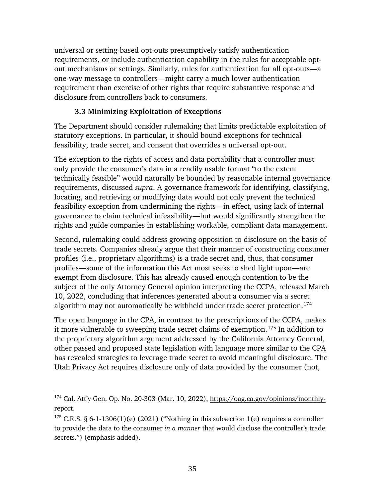universal or setting-based opt-outs presumptively satisfy authentication requirements, or include authentication capability in the rules for acceptable optout mechanisms or settings. Similarly, rules for authentication for all opt-outs—a one-way message to controllers—might carry a much lower authentication requirement than exercise of other rights that require substantive response and disclosure from controllers back to consumers.

### **3.3 Minimizing Exploitation of Exceptions**

<span id="page-39-0"></span>The Department should consider rulemaking that limits predictable exploitation of statutory exceptions. In particular, it should bound exceptions for technical feasibility, trade secret, and consent that overrides a universal opt-out.

The exception to the rights of access and data portability that a controller must only provide the consumer's data in a readily usable format "to the extent technically feasible" would naturally be bounded by reasonable internal governance requirements, discussed *supra*. A governance framework for identifying, classifying, locating, and retrieving or modifying data would not only prevent the technical feasibility exception from undermining the rights—in effect, using lack of internal governance to claim technical infeasibility—but would significantly strengthen the rights and guide companies in establishing workable, compliant data management.

Second, rulemaking could address growing opposition to disclosure on the basis of trade secrets. Companies already argue that their manner of constructing consumer profiles (i.e., proprietary algorithms) is a trade secret and, thus, that consumer profiles—some of the information this Act most seeks to shed light upon—are exempt from disclosure. This has already caused enough contention to be the subject of the only Attorney General opinion interpreting the CCPA, released March 10, 2022, concluding that inferences generated about a consumer via a secret algorithm may not automatically be withheld under trade secret protection.<sup>[174](#page-39-1)</sup>

The open language in the CPA, in contrast to the prescriptions of the CCPA, makes it more vulnerable to sweeping trade secret claims of exemption.[175](#page-39-2) In addition to the proprietary algorithm argument addressed by the California Attorney General, other passed and proposed state legislation with language more similar to the CPA has revealed strategies to leverage trade secret to avoid meaningful disclosure. The Utah Privacy Act requires disclosure only of data provided by the consumer (not,

<span id="page-39-1"></span> $174$  Cal. Att'y Gen. Op. No. 20-303 (Mar. 10, 2022), [https://oag.ca.gov/opinions/monthly](https://oag.ca.gov/opinions/monthly-report)[report.](https://oag.ca.gov/opinions/monthly-report)

<span id="page-39-2"></span><sup>&</sup>lt;sup>175</sup> C.R.S. § 6-1-1306(1)(e) (2021) ("Nothing in this subsection 1(e) requires a controller to provide the data to the consumer *in a manner* that would disclose the controller's trade secrets.") (emphasis added).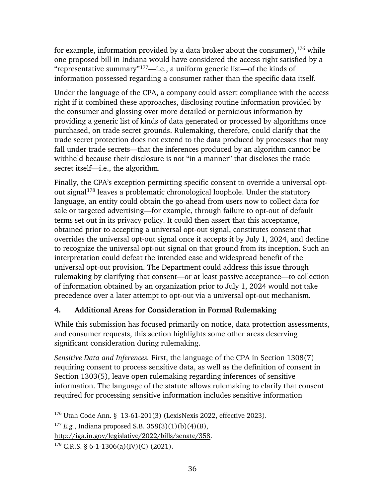for example, information provided by a data broker about the consumer),  $176$  while one proposed bill in Indiana would have considered the access right satisfied by a "representative summary"<sup>[177](#page-40-2)</sup>—i.e., a uniform generic list—of the kinds of information possessed regarding a consumer rather than the specific data itself.

Under the language of the CPA, a company could assert compliance with the access right if it combined these approaches, disclosing routine information provided by the consumer and glossing over more detailed or pernicious information by providing a generic list of kinds of data generated or processed by algorithms once purchased, on trade secret grounds. Rulemaking, therefore, could clarify that the trade secret protection does not extend to the data produced by processes that may fall under trade secrets—that the inferences produced by an algorithm cannot be withheld because their disclosure is not "in a manner" that discloses the trade secret itself—i.e., the algorithm.

Finally, the CPA's exception permitting specific consent to override a universal optout signal[178](#page-40-3) leaves a problematic chronological loophole. Under the statutory language, an entity could obtain the go-ahead from users now to collect data for sale or targeted advertising—for example, through failure to opt-out of default terms set out in its privacy policy. It could then assert that this acceptance, obtained prior to accepting a universal opt-out signal, constitutes consent that overrides the universal opt-out signal once it accepts it by July 1, 2024, and decline to recognize the universal opt-out signal on that ground from its inception. Such an interpretation could defeat the intended ease and widespread benefit of the universal opt-out provision. The Department could address this issue through rulemaking by clarifying that consent—or at least passive acceptance—to collection of information obtained by an organization prior to July 1, 2024 would not take precedence over a later attempt to opt-out via a universal opt-out mechanism.

## <span id="page-40-0"></span>**4. Additional Areas for Consideration in Formal Rulemaking**

While this submission has focused primarily on notice, data protection assessments, and consumer requests, this section highlights some other areas deserving significant consideration during rulemaking.

*Sensitive Data and Inferences.* First, the language of the CPA in Section 1308(7) requiring consent to process sensitive data, as well as the definition of consent in Section 1303(5), leave open rulemaking regarding inferences of sensitive information. The language of the statute allows rulemaking to clarify that consent required for processing sensitive information includes sensitive information

<span id="page-40-1"></span><sup>176</sup> Utah Code Ann. § 13-61-201(3) (LexisNexis 2022, effective 2023).

<span id="page-40-2"></span><sup>177</sup> *E.g.*, Indiana proposed S.B. 358(3)(1)(b)(4)(B),

[http://iga.in.gov/legislative/2022/bills/senate/358.](http://iga.in.gov/legislative/2022/bills/senate/358)

<span id="page-40-3"></span><sup>&</sup>lt;sup>178</sup> C.R.S. § 6-1-1306(a)(IV)(C) (2021).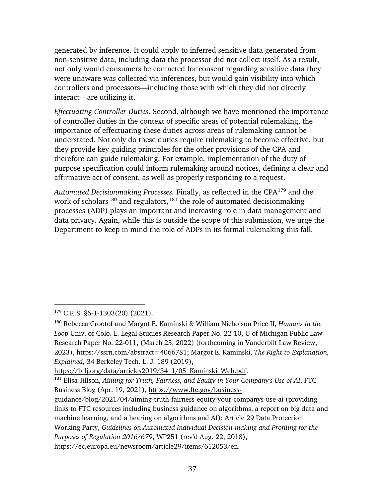generated by inference. It could apply to inferred sensitive data generated from non-sensitive data, including data the processor did not collect itself. As a result, not only would consumers be contacted for consent regarding sensitive data they were unaware was collected via inferences, but would gain visibility into which controllers and processors—including those with which they did not directly interact—are utilizing it.

*Effectuating Controller Duties*. Second, although we have mentioned the importance of controller duties in the context of specific areas of potential rulemaking, the importance of effectuating these duties across areas of rulemaking cannot be understated. Not only do these duties require rulemaking to become effective, but they provide key guiding principles for the other provisions of the CPA and therefore can guide rulemaking. For example, implementation of the duty of purpose specification could inform rulemaking around notices, defining a clear and affirmative act of consent, as well as properly responding to a request.

*Automated Decisionmaking Processes.* Finally, as reflected in the CPA[179](#page-41-0) and the work of scholars<sup>[180](#page-41-1)</sup> and regulators,  $181$  the role of automated decisionmaking processes (ADP) plays an important and increasing role in data management and data privacy. Again, while this is outside the scope of this submission, we urge the Department to keep in mind the role of ADPs in its formal rulemaking this fall.

<span id="page-41-0"></span> $179$  C.R.S. §6-1-1303(20) (2021).

<span id="page-41-1"></span><sup>180</sup> Rebecca Crootof and Margot E. Kaminski & William Nicholson Price II, *Humans in the Loop* Univ. of Colo. L. Legal Studies Research Paper No. 22-10, U of Michigan Public Law Research Paper No. 22-011, (March 25, 2022) (forthcoming in Vanderbilt Law Review, 2023), [https://ssrn.com/abstract=4066781;](https://ssrn.com/abstract=4066781) Margot E. Kaminski, *The Right to Explanation, Explained*, 34 Berkeley Tech. L. J. 189 (2019),

<span id="page-41-2"></span>[https://btlj.org/data/articles2019/34\\_1/05\\_Kaminski\\_Web.pdf.](https://btlj.org/data/articles2019/34_1/05_Kaminski_Web.pdf) 181 Elisa Jillson, *Aiming for Truth, Fairness, and Equity in Your Company's Use of AI*, FTC Business Blog (Apr. 19, 2021), [https://www.ftc.gov/business-](https://www.ftc.gov/business-guidance/blog/2021/04/aiming-truth-fairness-equity-your-companys-use-ai)

[guidance/blog/2021/04/aiming-truth-fairness-equity-your-companys-use-ai](https://www.ftc.gov/business-guidance/blog/2021/04/aiming-truth-fairness-equity-your-companys-use-ai) (providing links to FTC resources including business guidance on algorithms, a report on big data and machine learning, and a hearing on algorithms and AI); Article 29 Data Protection Working Party, *Guidelines on Automated Individual Decision-making and Profiling for the Purposes of Regulation 2016/679*, WP251 (rev'd Aug. 22, 2018), https://ec.europa.eu/newsroom/article29/items/612053/en.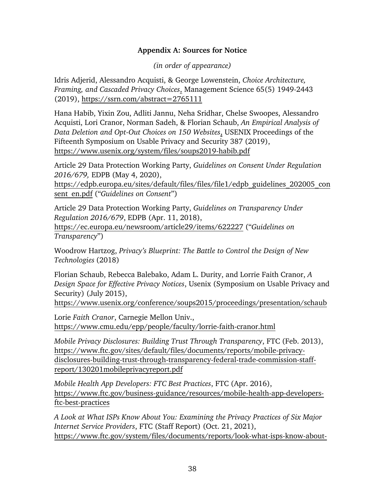### **Appendix A: Sources for Notice**

*(in order of appearance)*

<span id="page-42-0"></span>Idris Adjerid, Alessandro Acquisti, & George Lowenstein, *Choice Architecture, Framing, and Cascaded Privacy Choices*, Management Science 65(5) 1949-2443 (2019), <https://ssrn.com/abstract=2765111>

Hana Habib, Yixin Zou, Adliti Jannu, Neha Sridhar, Chelse Swoopes, Alessandro Acquisti, Lori Cranor, Norman Sadeh, & Florian Schaub, *An Empirical Analysis of Data Deletion and Opt-Out Choices on 150 Websites*, USENIX Proceedings of the Fifteenth Symposium on Usable Privacy and Security 387 (2019), <https://www.usenix.org/system/files/soups2019-habib.pdf>

Article 29 Data Protection Working Party, *Guidelines on Consent Under Regulation 2016/679,* EDPB (May 4, 2020),

[https://edpb.europa.eu/sites/default/files/files/file1/edpb\\_guidelines\\_202005\\_con](https://edpb.europa.eu/sites/default/files/files/file1/edpb_guidelines_202005_consent_en.pdf) [sent\\_en.pdf](https://edpb.europa.eu/sites/default/files/files/file1/edpb_guidelines_202005_consent_en.pdf) ("*Guidelines on Consent*")

Article 29 Data Protection Working Party, *Guidelines on Transparency Under Regulation 2016/679*, EDPB (Apr. 11, 2018),

<https://ec.europa.eu/newsroom/article29/items/622227> ("*Guidelines on Transparency*")

Woodrow Hartzog, *Privacy's Blueprint: The Battle to Control the Design of New Technologies* (2018)

Florian Schaub, Rebecca Balebako, Adam L. Durity, and Lorrie Faith Cranor, *A Design Space for Effective Privacy Notices*, Usenix (Symposium on Usable Privacy and Security) (July 2015),

<https://www.usenix.org/conference/soups2015/proceedings/presentation/schaub>

Lorie *Faith Cranor*, Carnegie Mellon Univ., <https://www.cmu.edu/epp/people/faculty/lorrie-faith-cranor.html>

*Mobile Privacy Disclosures: Building Trust Through Transparency*, FTC (Feb. 2013), [https://www.ftc.gov/sites/default/files/documents/reports/mobile-privacy](https://www.ftc.gov/sites/default/files/documents/reports/mobile-privacy-disclosures-building-trust-through-transparency-federal-trade-commission-staff-report/130201mobileprivacyreport.pdf)[disclosures-building-trust-through-transparency-federal-trade-commission-staff](https://www.ftc.gov/sites/default/files/documents/reports/mobile-privacy-disclosures-building-trust-through-transparency-federal-trade-commission-staff-report/130201mobileprivacyreport.pdf)[report/130201mobileprivacyreport.pdf](https://www.ftc.gov/sites/default/files/documents/reports/mobile-privacy-disclosures-building-trust-through-transparency-federal-trade-commission-staff-report/130201mobileprivacyreport.pdf)

*Mobile Health App Developers: FTC Best Practices*, FTC (Apr. 2016), [https://www.ftc.gov/business-guidance/resources/mobile-health-app-developers](https://www.ftc.gov/business-guidance/resources/mobile-health-app-developers-ftc-best-practices)[ftc-best-practices](https://www.ftc.gov/business-guidance/resources/mobile-health-app-developers-ftc-best-practices)

*A Look at What ISPs Know About You: Examining the Privacy Practices of Six Major Internet Service Providers*, FTC (Staff Report) (Oct. 21, 2021), [https://www.ftc.gov/system/files/documents/reports/look-what-isps-know-about-](https://www.ftc.gov/system/files/documents/reports/look-what-isps-know-about-you-examining-privacy-practices-six-major-internet-service-providers/p195402_isp_6b_staff_report.pdf)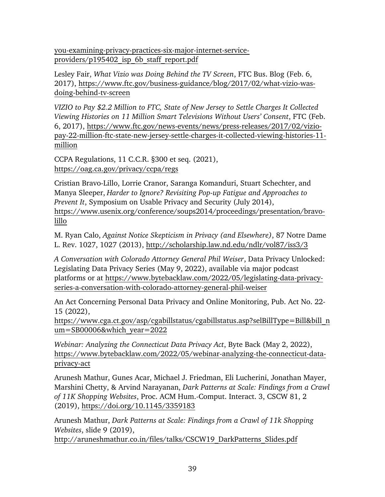[you-examining-privacy-practices-six-major-internet-service](https://www.ftc.gov/system/files/documents/reports/look-what-isps-know-about-you-examining-privacy-practices-six-major-internet-service-providers/p195402_isp_6b_staff_report.pdf)[providers/p195402\\_isp\\_6b\\_staff\\_report.pdf](https://www.ftc.gov/system/files/documents/reports/look-what-isps-know-about-you-examining-privacy-practices-six-major-internet-service-providers/p195402_isp_6b_staff_report.pdf)

Lesley Fair, *What Vizio was Doing Behind the TV Screen*, FTC Bus. Blog (Feb. 6, 2017), [https://www.ftc.gov/business-guidance/blog/2017/02/what-vizio-was](https://www.ftc.gov/business-guidance/blog/2017/02/what-vizio-was-doing-behind-tv-screen)[doing-behind-tv-screen](https://www.ftc.gov/business-guidance/blog/2017/02/what-vizio-was-doing-behind-tv-screen)

*VIZIO to Pay \$2.2 Million to FTC, State of New Jersey to Settle Charges It Collected Viewing Histories on 11 Million Smart Televisions Without Users' Consent*, FTC (Feb. 6, 2017), [https://www.ftc.gov/news-events/news/press-releases/2017/02/vizio](https://www.ftc.gov/news-events/news/press-releases/2017/02/vizio-pay-22-million-ftc-state-new-jersey-settle-charges-it-collected-viewing-histories-11-million)[pay-22-million-ftc-state-new-jersey-settle-charges-it-collected-viewing-histories-11](https://www.ftc.gov/news-events/news/press-releases/2017/02/vizio-pay-22-million-ftc-state-new-jersey-settle-charges-it-collected-viewing-histories-11-million) [million](https://www.ftc.gov/news-events/news/press-releases/2017/02/vizio-pay-22-million-ftc-state-new-jersey-settle-charges-it-collected-viewing-histories-11-million)

CCPA Regulations, 11 C.C.R. §300 et seq. (2021), <https://oag.ca.gov/privacy/ccpa/regs>

Cristian Bravo-Lillo, Lorrie Cranor, Saranga Komanduri, Stuart Schechter, and Manya Sleeper, *Harder to Ignore? Revisiting Pop-up Fatigue and Approaches to Prevent It*, Symposium on Usable Privacy and Security (July 2014), [https://www.usenix.org/conference/soups2014/proceedings/presentation/bravo](https://www.usenix.org/conference/soups2014/proceedings/presentation/bravo-lillo)[lillo](https://www.usenix.org/conference/soups2014/proceedings/presentation/bravo-lillo)

M. Ryan Calo, *Against Notice Skepticism in Privacy (and Elsewhere)*, 87 Notre Dame L. Rev. 1027, 1027 (2013),<http://scholarship.law.nd.edu/ndlr/vol87/iss3/3>

*A Conversation with Colorado Attorney General Phil Weiser*, Data Privacy Unlocked: Legislating Data Privacy Series (May 9, 2022), available via major podcast platforms or at [https://www.bytebacklaw.com/2022/05/legislating-data-privacy](https://www.bytebacklaw.com/2022/05/legislating-data-privacy-series-a-conversation-with-colorado-attorney-general-phil-weiser)[series-a-conversation-with-colorado-attorney-general-phil-weiser](https://www.bytebacklaw.com/2022/05/legislating-data-privacy-series-a-conversation-with-colorado-attorney-general-phil-weiser)

An Act Concerning Personal Data Privacy and Online Monitoring, Pub. Act No. 22- 15 (2022),

[https://www.cga.ct.gov/asp/cgabillstatus/cgabillstatus.asp?selBillType=Bill&bill\\_n](https://www.cga.ct.gov/asp/cgabillstatus/cgabillstatus.asp?selBillType=Bill&bill_num=SB00006&which_year=2022) [um=SB00006&which\\_year=2022](https://www.cga.ct.gov/asp/cgabillstatus/cgabillstatus.asp?selBillType=Bill&bill_num=SB00006&which_year=2022)

*Webinar: Analyzing the Connecticut Data Privacy Act*, Byte Back (May 2, 2022), [https://www.bytebacklaw.com/2022/05/webinar-analyzing-the-connecticut-data](https://www.bytebacklaw.com/2022/05/webinar-analyzing-the-connecticut-data-privacy-act)[privacy-act](https://www.bytebacklaw.com/2022/05/webinar-analyzing-the-connecticut-data-privacy-act)

Arunesh Mathur, Gunes Acar, Michael J. Friedman, Eli Lucherini, Jonathan Mayer, Marshini Chetty, & Arvind Narayanan, *Dark Patterns at Scale: Findings from a Crawl of 11K Shopping Websites*, Proc. ACM Hum.-Comput. Interact. 3, CSCW 81, 2 (2019),<https://doi.org/10.1145/3359183>

Arunesh Mathur, *Dark Patterns at Scale: Findings from a Crawl of 11k Shopping Websites*, slide 9 (2019),

[http://aruneshmathur.co.in/files/talks/CSCW19\\_DarkPatterns\\_Slides.pdf](http://aruneshmathur.co.in/files/talks/CSCW19_DarkPatterns_Slides.pdf)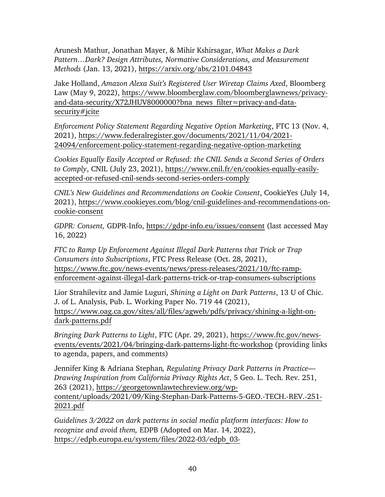Arunesh Mathur, Jonathan Mayer, & Mihir Kshirsagar, *What Makes a Dark Pattern…Dark? Design Attributes, Normative Considerations, and Measurement Methods* (Jan. 13, 2021),<https://arxiv.org/abs/2101.04843>

Jake Holland, *Amazon Alexa Suit's Registered User Wiretap Claims Axed*, Bloomberg Law (May 9, 2022), [https://www.bloomberglaw.com/bloomberglawnews/privacy](https://www.bloomberglaw.com/bloomberglawnews/privacy-and-data-security/X72JHUV8000000?bna_news_filter=privacy-and-data-security#jcite)[and-data-security/X72JHUV8000000?bna\\_news\\_filter=privacy-and-data](https://www.bloomberglaw.com/bloomberglawnews/privacy-and-data-security/X72JHUV8000000?bna_news_filter=privacy-and-data-security#jcite)[security#jcite](https://www.bloomberglaw.com/bloomberglawnews/privacy-and-data-security/X72JHUV8000000?bna_news_filter=privacy-and-data-security#jcite)

*Enforcement Policy Statement Regarding Negative Option Marketing*, FTC 13 (Nov. 4, 2021), [https://www.federalregister.gov/documents/2021/11/04/2021-](https://www.federalregister.gov/documents/2021/11/04/2021-24094/enforcement-policy-statement-regarding-negative-option-marketing) [24094/enforcement-policy-statement-regarding-negative-option-marketing](https://www.federalregister.gov/documents/2021/11/04/2021-24094/enforcement-policy-statement-regarding-negative-option-marketing)

*Cookies Equally Easily Accepted or Refused: the CNIL Sends a Second Series of Orders to Comply*, CNIL (July 23, 2021), [https://www.cnil.fr/en/cookies-equally-easily](https://www.cnil.fr/en/cookies-equally-easily-accepted-or-refused-cnil-sends-second-series-orders-comply)[accepted-or-refused-cnil-sends-second-series-orders-comply](https://www.cnil.fr/en/cookies-equally-easily-accepted-or-refused-cnil-sends-second-series-orders-comply)

*CNIL's New Guidelines and Recommendations on Cookie Consent*, CookieYes (July 14, 2021), [https://www.cookieyes.com/blog/cnil-guidelines-and-recommendations-on](https://www.cookieyes.com/blog/cnil-guidelines-and-recommendations-on-cookie-consent)[cookie-consent](https://www.cookieyes.com/blog/cnil-guidelines-and-recommendations-on-cookie-consent)

*GDPR: Consent,* GDPR-Info,<https://gdpr-info.eu/issues/consent> (last accessed May 16, 2022)

*FTC to Ramp Up Enforcement Against Illegal Dark Patterns that Trick or Trap Consumers into Subscriptions*, FTC Press Release (Oct. 28, 2021), [https://www.ftc.gov/news-events/news/press-releases/2021/10/ftc-ramp](https://www.ftc.gov/news-events/news/press-releases/2021/10/ftc-ramp-enforcement-against-illegal-dark-patterns-trick-or-trap-consumers-subscriptions)[enforcement-against-illegal-dark-patterns-trick-or-trap-consumers-subscriptions](https://www.ftc.gov/news-events/news/press-releases/2021/10/ftc-ramp-enforcement-against-illegal-dark-patterns-trick-or-trap-consumers-subscriptions)

Lior Strahilevitz and Jamie Luguri, *Shining a Light on Dark Patterns*, 13 U of Chic. J. of L. Analysis, Pub. L. Working Paper No. 719 44 (2021), https://www.oag.ca.gov/sites/all/files/agweb/pdfs/privacy/shining-a-light-ondark-patterns.pdf

*Bringing Dark Patterns to Light*, FTC (Apr. 29, 2021), [https://www.ftc.gov/news](https://www.ftc.gov/news-events/events/2021/04/bringing-dark-patterns-light-ftc-workshop)[events/events/2021/04/bringing-dark-patterns-light-ftc-workshop](https://www.ftc.gov/news-events/events/2021/04/bringing-dark-patterns-light-ftc-workshop) (providing links to agenda, papers, and comments)

Jennifer King & Adriana Stephan*, Regulating Privacy Dark Patterns in Practice— Drawing Inspiration from California Privacy Rights Act*, 5 Geo. L. Tech. Rev. 251, 263 (2021), [https://georgetownlawtechreview.org/wp](https://georgetownlawtechreview.org/wp-content/uploads/2021/09/King-Stephan-Dark-Patterns-5-GEO.-TECH.-REV.-251-2021.pdf)[content/uploads/2021/09/King-Stephan-Dark-Patterns-5-GEO.-TECH.-REV.-251-](https://georgetownlawtechreview.org/wp-content/uploads/2021/09/King-Stephan-Dark-Patterns-5-GEO.-TECH.-REV.-251-2021.pdf) [2021.pdf](https://georgetownlawtechreview.org/wp-content/uploads/2021/09/King-Stephan-Dark-Patterns-5-GEO.-TECH.-REV.-251-2021.pdf)

*Guidelines 3/2022 on dark patterns in social media platform interfaces: How to recognize and avoid them,* EDPB (Adopted on Mar. 14, 2022), [https://edpb.europa.eu/system/files/2022-03/edpb\\_03-](https://edpb.europa.eu/system/files/2022-03/edpb_03-2022_guidelines_on_dark_patterns_in_social_media_platform_interfaces_en.pdf)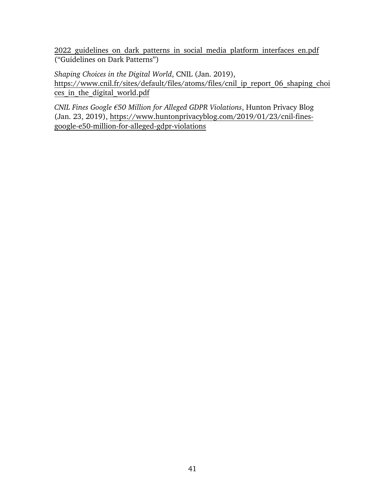2022 guidelines on dark patterns in social media platform interfaces en.pdf ("Guidelines on Dark Patterns")

*Shaping Choices in the Digital World*, CNIL (Jan. 2019), [https://www.cnil.fr/sites/default/files/atoms/files/cnil\\_ip\\_report\\_06\\_shaping\\_choi](https://www.cnil.fr/sites/default/files/atoms/files/cnil_ip_report_06_shaping_choices_in_the_digital_world.pdf) ces in the digital world.pdf

*CNIL Fines Google €50 Million for Alleged GDPR Violations*, Hunton Privacy Blog (Jan. 23, 2019), [https://www.huntonprivacyblog.com/2019/01/23/cnil-fines](https://www.huntonprivacyblog.com/2019/01/23/cnil-fines-google-e50-million-for-alleged-gdpr-violations)[google-e50-million-for-alleged-gdpr-violations](https://www.huntonprivacyblog.com/2019/01/23/cnil-fines-google-e50-million-for-alleged-gdpr-violations)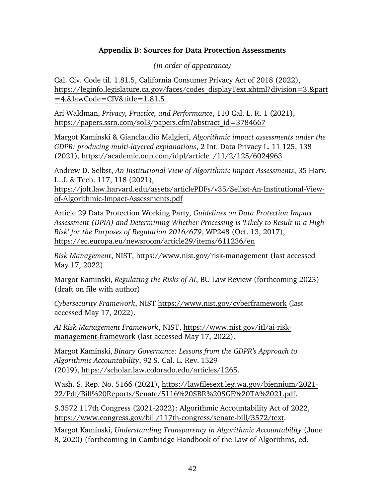### **Appendix B: Sources for Data Protection Assessments**

*(in order of appearance)*

<span id="page-46-0"></span>Cal. Civ. Code til. 1.81.5, California Consumer Privacy Act of 2018 (2022), [https://leginfo.legislature.ca.gov/faces/codes\\_displayText.xhtml?division=3.&part](https://leginfo.legislature.ca.gov/faces/codes_displayText.xhtml?division=3.&part=4.&lawCode=CIV&title=1.81.5) [=4.&lawCode=CIV&title=1.81.5](https://leginfo.legislature.ca.gov/faces/codes_displayText.xhtml?division=3.&part=4.&lawCode=CIV&title=1.81.5)

Ari Waldman, *Privacy, Practice, and Performance*, 110 Cal. L. R. 1 (2021), [https://papers.ssrn.com/sol3/papers.cfm?abstract\\_id=3784667](https://papers.ssrn.com/sol3/papers.cfm?abstract_id=3784667)

Margot Kaminski & Gianclaudio Malgieri, *Algorithmic impact assessments under the GDPR: producing multi-layered explanations*, 2 Int. Data Privacy L. 11 125, 138 (2021), [https://academic.oup.com/idpl/article](https://academic.oup.com/idpl/article/11/2/125/6024963) /11/2/125/6024963

Andrew D. Selbst, *An Institutional View of Algorithmic Impact Assessments*, 35 Harv. L. J. & Tech. 117, 118 (2021),

[https://jolt.law.harvard.edu/assets/articlePDFs/v35/Selbst-An-Institutional-View](https://jolt.law.harvard.edu/assets/articlePDFs/v35/Selbst-An-Institutional-View-of-Algorithmic-Impact-Assessments.pdf)[of-Algorithmic-Impact-Assessments.pdf](https://jolt.law.harvard.edu/assets/articlePDFs/v35/Selbst-An-Institutional-View-of-Algorithmic-Impact-Assessments.pdf)

Article 29 Data Protection Working Party, *Guidelines on Data Protection Impact Assessment (DPIA) and Determining Whether Processing is 'Likely to Result in a High Risk' for the Purposes of Regulation 2016/679*, WP248 (Oct. 13, 2017), <https://ec.europa.eu/newsroom/article29/items/611236/en>

*Risk Management*, NIST,<https://www.nist.gov/risk-management> (last accessed May 17, 2022)

Margot Kaminski, *Regulating the Risks of AI*, BU Law Review (forthcoming 2023) (draft on file with author)

*Cybersecurity Framework*, NIST<https://www.nist.gov/cyberframework> (last accessed May 17, 2022).

*AI Risk Management Framework*, NIST, [https://www.nist.gov/itl/ai-risk](https://www.nist.gov/itl/ai-risk-management-framework)[management-framework](https://www.nist.gov/itl/ai-risk-management-framework) (last accessed May 17, 2022).

Margot Kaminski, *Binary Governance: Lessons from the GDPR's Approach to Algorithmic Accountability*, 92 S. Cal. L. Rev. 1529 (2019), [https://scholar.law.colorado.edu/articles/1265.](https://scholar.law.colorado.edu/articles/1265)

Wash. S. Rep. No. 5166 (2021), [https://lawfilesext.leg.wa.gov/biennium/2021-](https://lawfilesext.leg.wa.gov/biennium/2021-22/Pdf/Bill%20Reports/Senate/5116%20SBR%20SGE%20TA%2021.pdf) [22/Pdf/Bill%20Reports/Senate/5116%20SBR%20SGE%20TA%2021.pdf.](https://lawfilesext.leg.wa.gov/biennium/2021-22/Pdf/Bill%20Reports/Senate/5116%20SBR%20SGE%20TA%2021.pdf)

S.3572 117th Congress (2021-2022): Algorithmic Accountability Act of 2022, [https://www.congress.gov/bill/117th-congress/senate-bill/3572/text.](https://www.congress.gov/bill/117th-congress/senate-bill/3572/text)

Margot Kaminski, *Understanding Transparency in Algorithmic Accountability* (June 8, 2020) (forthcoming in Cambridge Handbook of the Law of Algorithms, ed.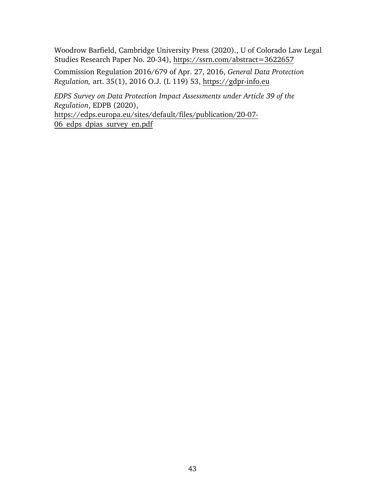Woodrow Barfield, Cambridge University Press (2020)., U of Colorado Law Legal Studies Research Paper No. 20-34),<https://ssrn.com/abstract=3622657>

Commission Regulation 2016/679 of Apr. 27, 2016, *General Data Protection Regulation,* art. 35(1), 2016 O.J. (L 119) 53, https://gdpr-info.eu

*EDPS Survey on Data Protection Impact Assessments under Article 39 of the Regulation*, EDPB (2020), [https://edps.europa.eu/sites/default/files/publication/20-07-](https://edps.europa.eu/sites/default/files/publication/20-07-06_edps_dpias_survey_en.pdf)

[06\\_edps\\_dpias\\_survey\\_en.pdf](https://edps.europa.eu/sites/default/files/publication/20-07-06_edps_dpias_survey_en.pdf)